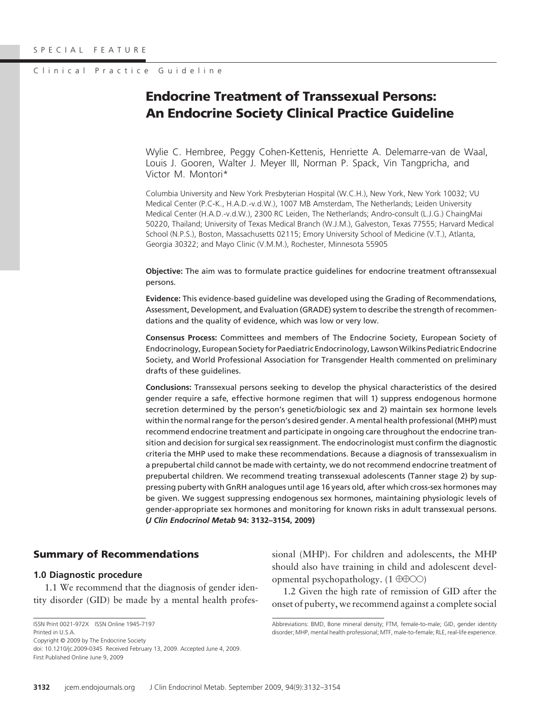# **Endocrine Treatment of Transsexual Persons: An Endocrine Society Clinical Practice Guideline**

Wylie C. Hembree, Peggy Cohen-Kettenis, Henriette A. Delemarre-van de Waal, Louis J. Gooren, Walter J. Meyer III, Norman P. Spack, Vin Tangpricha, and Victor M. Montori\*

Columbia University and New York Presbyterian Hospital (W.C.H.), New York, New York 10032; VU Medical Center (P.C-K., H.A.D.-v.d.W.), 1007 MB Amsterdam, The Netherlands; Leiden University Medical Center (H.A.D.-v.d.W.), 2300 RC Leiden, The Netherlands; Andro-consult (L.J.G.) ChaingMai 50220, Thailand; University of Texas Medical Branch (W.J.M.), Galveston, Texas 77555; Harvard Medical School (N.P.S.), Boston, Massachusetts 02115; Emory University School of Medicine (V.T.), Atlanta, Georgia 30322; and Mayo Clinic (V.M.M.), Rochester, Minnesota 55905

**Objective:** The aim was to formulate practice guidelines for endocrine treatment oftranssexual persons.

**Evidence:** This evidence-based guideline was developed using the Grading of Recommendations, Assessment, Development, and Evaluation (GRADE) system to describe the strength of recommendations and the quality of evidence, which was low or very low.

**Consensus Process:** Committees and members of The Endocrine Society, European Society of Endocrinology, European Society for Paediatric Endocrinology, LawsonWilkins Pediatric Endocrine Society, and World Professional Association for Transgender Health commented on preliminary drafts of these guidelines.

**Conclusions:** Transsexual persons seeking to develop the physical characteristics of the desired gender require a safe, effective hormone regimen that will 1) suppress endogenous hormone secretion determined by the person's genetic/biologic sex and 2) maintain sex hormone levels within the normal range for the person's desired gender. A mental health professional (MHP) must recommend endocrine treatment and participate in ongoing care throughout the endocrine transition and decision for surgical sex reassignment. The endocrinologist must confirm the diagnostic criteria the MHP used to make these recommendations. Because a diagnosis of transsexualism in a prepubertal child cannot be made with certainty, we do not recommend endocrine treatment of prepubertal children. We recommend treating transsexual adolescents (Tanner stage 2) by suppressing puberty with GnRH analogues until age 16 years old, after which cross-sex hormones may be given. We suggest suppressing endogenous sex hormones, maintaining physiologic levels of gender-appropriate sex hormones and monitoring for known risks in adult transsexual persons. **(***J Clin Endocrinol Metab* **94: 3132–3154, 2009)**

### **Summary of Recommendations**

### **1.0 Diagnostic procedure**

1.1 We recommend that the diagnosis of gender identity disorder (GID) be made by a mental health profes-

ISSN Print 0021-972X ISSN Online 1945-7197 Printed in U.S.A.

Copyright © 2009 by The Endocrine Society

doi: 10.1210/jc.2009-0345 Received February 13, 2009. Accepted June 4, 2009. First Published Online June 9, 2009

sional (MHP). For children and adolescents, the MHP should also have training in child and adolescent developmental psychopathology.  $(1 \oplus \oplus \odot)$ 

1.2 Given the high rate of remission of GID after the onset of puberty, we recommend against a complete social

Abbreviations: BMD, Bone mineral density; FTM, female-to-male; GID, gender identity disorder; MHP, mental health professional; MTF, male-to-female; RLE, real-life experience.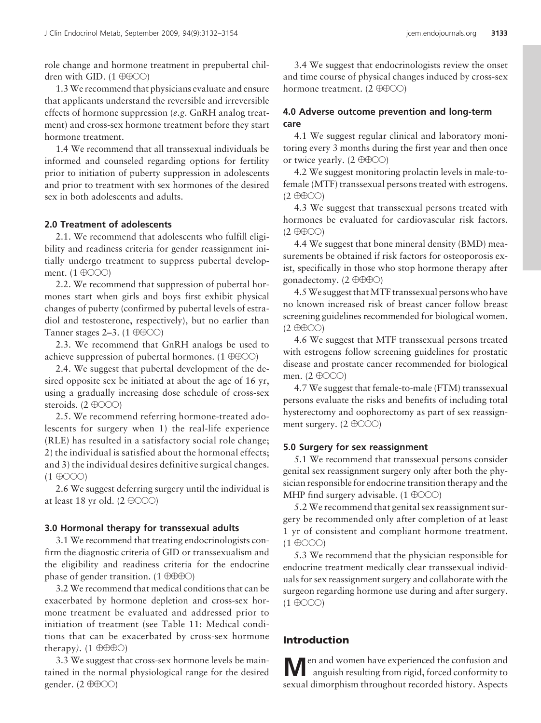role change and hormone treatment in prepubertal children with GID.  $(1 \oplus \oplus \odot)$ 

1.3We recommend that physicians evaluate and ensure that applicants understand the reversible and irreversible effects of hormone suppression (*e*.*g*. GnRH analog treatment) and cross-sex hormone treatment before they start hormone treatment.

1.4 We recommend that all transsexual individuals be informed and counseled regarding options for fertility prior to initiation of puberty suppression in adolescents and prior to treatment with sex hormones of the desired sex in both adolescents and adults.

## **2.0 Treatment of adolescents**

2.1. We recommend that adolescents who fulfill eligibility and readiness criteria for gender reassignment initially undergo treatment to suppress pubertal development.  $(1 \oplus \odot \odot)$ 

2.2. We recommend that suppression of pubertal hormones start when girls and boys first exhibit physical changes of puberty (confirmed by pubertal levels of estradiol and testosterone, respectively), but no earlier than Tanner stages  $2-3$ . (1 $\oplus \oplus \odot$ )

2.3. We recommend that GnRH analogs be used to achieve suppression of pubertal hormones. (1 $\oplus \oplus \odot$ )

2.4. We suggest that pubertal development of the desired opposite sex be initiated at about the age of 16 yr, using a gradually increasing dose schedule of cross-sex steroids.  $(2 \oplus OOO)$ 

2.5. We recommend referring hormone-treated adolescents for surgery when 1) the real-life experience (RLE) has resulted in a satisfactory social role change; 2) the individual is satisfied about the hormonal effects; and 3) the individual desires definitive surgical changes.  $(1 \oplus$ OOO)

2.6 We suggest deferring surgery until the individual is at least 18 yr old.  $(2 \oplus \odot \odot)$ 

## **3.0 Hormonal therapy for transsexual adults**

3.1 We recommend that treating endocrinologists confirm the diagnostic criteria of GID or transsexualism and the eligibility and readiness criteria for the endocrine phase of gender transition. (1 $\oplus \oplus \oplus \odot$ )

3.2 We recommend that medical conditions that can be exacerbated by hormone depletion and cross-sex hormone treatment be evaluated and addressed prior to initiation of treatment (see Table 11: Medical conditions that can be exacerbated by cross-sex hormone therapy).  $(1 \oplus \oplus \oplus \odot)$ 

3.3 We suggest that cross-sex hormone levels be maintained in the normal physiological range for the desired gender.  $(2 \oplus \oplus \odot \odot)$ 

3.4 We suggest that endocrinologists review the onset and time course of physical changes induced by cross-sex hormone treatment.  $(2 \oplus \oplus \odot \odot)$ 

## **4.0 Adverse outcome prevention and long-term care**

4.1 We suggest regular clinical and laboratory monitoring every 3 months during the first year and then once or twice yearly.  $(2 \oplus \oplus \odot \odot)$ 

4.2 We suggest monitoring prolactin levels in male-tofemale (MTF) transsexual persons treated with estrogens.  $(2 \oplus \oplus \odot \odot)$ 

4.3 We suggest that transsexual persons treated with hormones be evaluated for cardiovascular risk factors.  $(2 \oplus \oplus \odot \odot)$ 

4.4 We suggest that bone mineral density (BMD) measurements be obtained if risk factors for osteoporosis exist, specifically in those who stop hormone therapy after gonadectomy.  $(2 \oplus \oplus \oplus \odot)$ 

4.5 We suggest that MTF transsexual persons who have no known increased risk of breast cancer follow breast screening guidelines recommended for biological women.  $(2 \oplus \oplus \odot \odot)$ 

4.6 We suggest that MTF transsexual persons treated with estrogens follow screening guidelines for prostatic disease and prostate cancer recommended for biological men.  $(2 \oplus OOO)$ 

4.7 We suggest that female-to-male (FTM) transsexual persons evaluate the risks and benefits of including total hysterectomy and oophorectomy as part of sex reassignment surgery.  $(2 \oplus \odot \odot)$ 

## **5.0 Surgery for sex reassignment**

5.1 We recommend that transsexual persons consider genital sex reassignment surgery only after both the physician responsible for endocrine transition therapy and the MHP find surgery advisable.  $(1 \oplus \odot \odot)$ 

5.2We recommend that genital sex reassignment surgery be recommended only after completion of at least 1 yr of consistent and compliant hormone treatment.  $(1 \oplus$ OOO)

5.3 We recommend that the physician responsible for endocrine treatment medically clear transsexual individuals for sex reassignment surgery and collaborate with the surgeon regarding hormone use during and after surgery.  $(1 \oplus$ OOO)

## **Introduction**

**M**en and women have experienced the confusion and anguish resulting from rigid, forced conformity to sexual dimorphism throughout recorded history. Aspects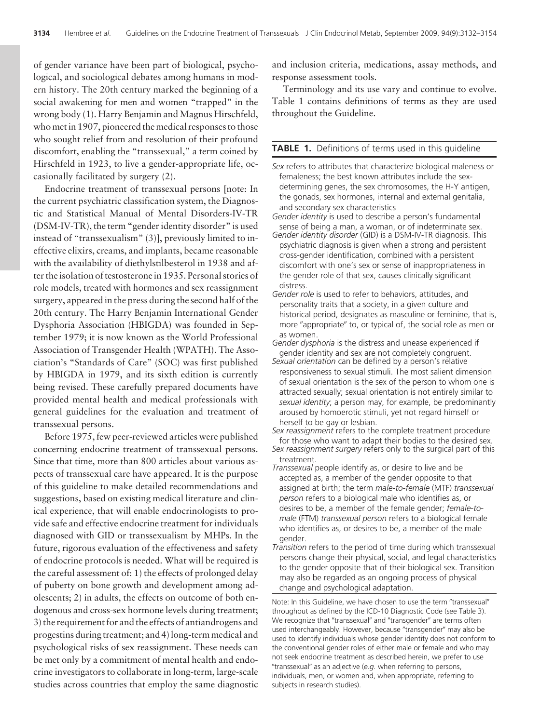of gender variance have been part of biological, psychological, and sociological debates among humans in modern history. The 20th century marked the beginning of a social awakening for men and women "trapped" in the wrong body (1). Harry Benjamin and Magnus Hirschfeld, who met in 1907, pioneered the medical responses to those who sought relief from and resolution of their profound discomfort, enabling the "transsexual," a term coined by Hirschfeld in 1923, to live a gender-appropriate life, occasionally facilitated by surgery (2).

Endocrine treatment of transsexual persons [note: In the current psychiatric classification system, the Diagnostic and Statistical Manual of Mental Disorders-IV-TR (DSM-IV-TR), the term "gender identity disorder" is used instead of "transsexualism" (3)], previously limited to ineffective elixirs, creams, and implants, became reasonable with the availability of diethylstilbesterol in 1938 and after the isolation of testosterone in 1935. Personal stories of role models, treated with hormones and sex reassignment surgery, appeared in the press during the second half of the 20th century. The Harry Benjamin International Gender Dysphoria Association (HBIGDA) was founded in September 1979; it is now known as the World Professional Association of Transgender Health (WPATH). The Association's "Standards of Care" (SOC) was first published by HBIGDA in 1979, and its sixth edition is currently being revised. These carefully prepared documents have provided mental health and medical professionals with general guidelines for the evaluation and treatment of transsexual persons.

Before 1975, few peer-reviewed articles were published concerning endocrine treatment of transsexual persons. Since that time, more than 800 articles about various aspects of transsexual care have appeared. It is the purpose of this guideline to make detailed recommendations and suggestions, based on existing medical literature and clinical experience, that will enable endocrinologists to provide safe and effective endocrine treatment for individuals diagnosed with GID or transsexualism by MHPs. In the future, rigorous evaluation of the effectiveness and safety of endocrine protocols is needed. What will be required is the careful assessment of: 1) the effects of prolonged delay of puberty on bone growth and development among adolescents; 2) in adults, the effects on outcome of both endogenous and cross-sex hormone levels during treatment; 3) the requirement for and the effects of antiandrogens and progestins during treatment; and 4) long-term medical and psychological risks of sex reassignment. These needs can be met only by a commitment of mental health and endocrine investigators to collaborate in long-term, large-scale studies across countries that employ the same diagnostic and inclusion criteria, medications, assay methods, and response assessment tools.

Terminology and its use vary and continue to evolve. Table 1 contains definitions of terms as they are used throughout the Guideline.

#### **TABLE 1.** Definitions of terms used in this guideline

- *Sex* refers to attributes that characterize biological maleness or femaleness; the best known attributes include the sexdetermining genes, the sex chromosomes, the H-Y antigen, the gonads, sex hormones, internal and external genitalia, and secondary sex characteristics
- *Gender identity* is used to describe a person's fundamental sense of being a man, a woman, or of indeterminate sex.
- *Gender identity disorder* (GID) is a DSM-IV-TR diagnosis. This psychiatric diagnosis is given when a strong and persistent cross-gender identification, combined with a persistent discomfort with one's sex or sense of inappropriateness in the gender role of that sex, causes clinically significant distress.
- *Gender role* is used to refer to behaviors, attitudes, and personality traits that a society, in a given culture and historical period, designates as masculine or feminine, that is, more "appropriate" to, or typical of, the social role as men or as women.
- *Gender dysphoria* is the distress and unease experienced if gender identity and sex are not completely congruent.
- *Sexual orientation* can be defined by a person's relative responsiveness to sexual stimuli. The most salient dimension of sexual orientation is the sex of the person to whom one is attracted sexually; sexual orientation is not entirely similar to *sexual identity*; a person may, for example, be predominantly aroused by homoerotic stimuli, yet not regard himself or herself to be gay or lesbian.
- *Sex reassignment* refers to the complete treatment procedure for those who want to adapt their bodies to the desired sex. *Sex reassignment surgery* refers only to the surgical part of this
- treatment. *Transsexual* people identify as, or desire to live and be accepted as, a member of the gender opposite to that assigned at birth; the term *male-to-female* (MTF) *transsexual person* refers to a biological male who identifies as, or desires to be, a member of the female gender; *female-tomale* (FTM) *transsexual person* refers to a biological female who identifies as, or desires to be, a member of the male gender.
- *Transition* refers to the period of time during which transsexual persons change their physical, social, and legal characteristics to the gender opposite that of their biological sex. Transition may also be regarded as an ongoing process of physical change and psychological adaptation.

Note: In this Guideline, we have chosen to use the term "transsexual" throughout as defined by the ICD-10 Diagnostic Code (see Table 3). We recognize that "transsexual" and "transgender" are terms often used interchangeably. However, because "transgender" may also be used to identify individuals whose gender identity does not conform to the conventional gender roles of either male or female and who may not seek endocrine treatment as described herein, we prefer to use "transsexual" as an adjective (e.g. when referring to persons, individuals, men, or women and, when appropriate, referring to subjects in research studies).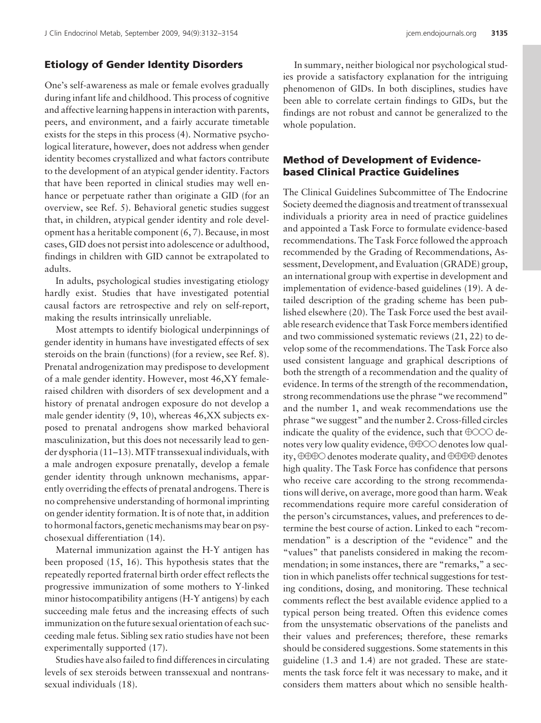## **Etiology of Gender Identity Disorders**

One's self-awareness as male or female evolves gradually during infant life and childhood. This process of cognitive and affective learning happens in interaction with parents, peers, and environment, and a fairly accurate timetable exists for the steps in this process (4). Normative psychological literature, however, does not address when gender identity becomes crystallized and what factors contribute to the development of an atypical gender identity. Factors that have been reported in clinical studies may well enhance or perpetuate rather than originate a GID (for an overview, see Ref. 5). Behavioral genetic studies suggest that, in children, atypical gender identity and role development has a heritable component (6, 7). Because, in most cases, GID does not persist into adolescence or adulthood, findings in children with GID cannot be extrapolated to adults.

In adults, psychological studies investigating etiology hardly exist. Studies that have investigated potential causal factors are retrospective and rely on self-report, making the results intrinsically unreliable.

Most attempts to identify biological underpinnings of gender identity in humans have investigated effects of sex steroids on the brain (functions) (for a review, see Ref. 8). Prenatal androgenization may predispose to development of a male gender identity. However, most 46,XY femaleraised children with disorders of sex development and a history of prenatal androgen exposure do not develop a male gender identity (9, 10), whereas 46,XX subjects exposed to prenatal androgens show marked behavioral masculinization, but this does not necessarily lead to gender dysphoria (11–13).MTF transsexual individuals, with a male androgen exposure prenatally, develop a female gender identity through unknown mechanisms, apparently overriding the effects of prenatal androgens. There is no comprehensive understanding of hormonal imprinting on gender identity formation. It is of note that, in addition to hormonal factors, genetic mechanisms may bear on psychosexual differentiation (14).

Maternal immunization against the H-Y antigen has been proposed (15, 16). This hypothesis states that the repeatedly reported fraternal birth order effect reflects the progressive immunization of some mothers to Y-linked minor histocompatibility antigens (H-Y antigens) by each succeeding male fetus and the increasing effects of such immunization on the future sexual orientation of each succeeding male fetus. Sibling sex ratio studies have not been experimentally supported (17).

Studies have also failed to find differences in circulating levels of sex steroids between transsexual and nontranssexual individuals (18).

In summary, neither biological nor psychological studies provide a satisfactory explanation for the intriguing phenomenon of GIDs. In both disciplines, studies have been able to correlate certain findings to GIDs, but the findings are not robust and cannot be generalized to the whole population.

## **Method of Development of Evidencebased Clinical Practice Guidelines**

The Clinical Guidelines Subcommittee of The Endocrine Society deemed the diagnosis and treatment of transsexual individuals a priority area in need of practice guidelines and appointed a Task Force to formulate evidence-based recommendations. The Task Force followed the approach recommended by the Grading of Recommendations, Assessment, Development, and Evaluation (GRADE) group, an international group with expertise in development and implementation of evidence-based guidelines (19). A detailed description of the grading scheme has been published elsewhere (20). The Task Force used the best available research evidence that Task Force members identified and two commissioned systematic reviews (21, 22) to develop some of the recommendations. The Task Force also used consistent language and graphical descriptions of both the strength of a recommendation and the quality of evidence. In terms of the strength of the recommendation, strong recommendations use the phrase "we recommend" and the number 1, and weak recommendations use the phrase "we suggest" and the number 2. Cross-filled circles indicate the quality of the evidence, such that  $\theta$ OOO denotes very low quality evidence,  $\oplus$  DOO denotes low quality,  $\oplus \oplus \oplus \circ$  denotes moderate quality, and  $\oplus \oplus \oplus$  denotes high quality. The Task Force has confidence that persons who receive care according to the strong recommendations will derive, on average, more good than harm. Weak recommendations require more careful consideration of the person's circumstances, values, and preferences to determine the best course of action. Linked to each "recommendation" is a description of the "evidence" and the "values" that panelists considered in making the recommendation; in some instances, there are "remarks," a section in which panelists offer technical suggestions for testing conditions, dosing, and monitoring. These technical comments reflect the best available evidence applied to a typical person being treated. Often this evidence comes from the unsystematic observations of the panelists and their values and preferences; therefore, these remarks should be considered suggestions. Some statements in this guideline (1.3 and 1.4) are not graded. These are statements the task force felt it was necessary to make, and it considers them matters about which no sensible health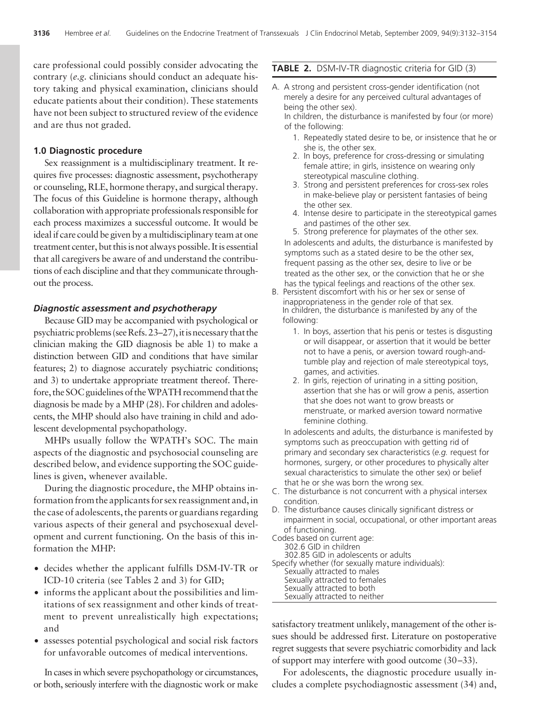care professional could possibly consider advocating the contrary (*e.g.* clinicians should conduct an adequate history taking and physical examination, clinicians should educate patients about their condition). These statements have not been subject to structured review of the evidence and are thus not graded.

#### **1.0 Diagnostic procedure**

Sex reassignment is a multidisciplinary treatment. It requires five processes: diagnostic assessment, psychotherapy or counseling, RLE, hormone therapy, and surgical therapy. The focus of this Guideline is hormone therapy, although collaboration with appropriate professionals responsible for each process maximizes a successful outcome. It would be ideal if care could be given by a multidisciplinary team at one treatment center, but this is not always possible. It is essential that all caregivers be aware of and understand the contributions of each discipline and that they communicate throughout the process.

#### *Diagnostic assessment and psychotherapy*

Because GID may be accompanied with psychological or psychiatric problems (see Refs. 23–27), it is necessary that the clinician making the GID diagnosis be able 1) to make a distinction between GID and conditions that have similar features; 2) to diagnose accurately psychiatric conditions; and 3) to undertake appropriate treatment thereof. Therefore, the SOC guidelines of theWPATH recommend that the diagnosis be made by a MHP (28). For children and adolescents, the MHP should also have training in child and adolescent developmental psychopathology.

MHPs usually follow the WPATH's SOC. The main aspects of the diagnostic and psychosocial counseling are described below, and evidence supporting the SOC guidelines is given, whenever available.

During the diagnostic procedure, the MHP obtains information from the applicants for sex reassignment and, in the case of adolescents, the parents or guardians regarding various aspects of their general and psychosexual development and current functioning. On the basis of this information the MHP:

- decides whether the applicant fulfills DSM-IV-TR or ICD-10 criteria (see Tables 2 and 3) for GID;
- informs the applicant about the possibilities and limitations of sex reassignment and other kinds of treatment to prevent unrealistically high expectations; and
- assesses potential psychological and social risk factors for unfavorable outcomes of medical interventions.

In cases in which severe psychopathology or circumstances, or both, seriously interfere with the diagnostic work or make

## **TABLE 2.** DSM-IV-TR diagnostic criteria for GID (3)

- A. A strong and persistent cross-gender identification (not merely a desire for any perceived cultural advantages of being the other sex). In children, the disturbance is manifested by four (or more) of the following:
	- 1. Repeatedly stated desire to be, or insistence that he or she is, the other sex.
	- 2. In boys, preference for cross-dressing or simulating female attire; in girls, insistence on wearing only stereotypical masculine clothing.
	- 3. Strong and persistent preferences for cross-sex roles in make-believe play or persistent fantasies of being the other sex.
	- 4. Intense desire to participate in the stereotypical games and pastimes of the other sex.

5. Strong preference for playmates of the other sex. In adolescents and adults, the disturbance is manifested by symptoms such as a stated desire to be the other sex, frequent passing as the other sex, desire to live or be treated as the other sex, or the conviction that he or she has the typical feelings and reactions of the other sex.

- B. Persistent discomfort with his or her sex or sense of inappropriateness in the gender role of that sex. In children, the disturbance is manifested by any of the following:
	- 1. In boys, assertion that his penis or testes is disgusting or will disappear, or assertion that it would be better not to have a penis, or aversion toward rough-andtumble play and rejection of male stereotypical toys, games, and activities.
	- 2. In girls, rejection of urinating in a sitting position, assertion that she has or will grow a penis, assertion that she does not want to grow breasts or menstruate, or marked aversion toward normative feminine clothing.

In adolescents and adults, the disturbance is manifested by symptoms such as preoccupation with getting rid of primary and secondary sex characteristics (*e.g.* request for hormones, surgery, or other procedures to physically alter sexual characteristics to simulate the other sex) or belief that he or she was born the wrong sex.

- C. The disturbance is not concurrent with a physical intersex condition.
- D. The disturbance causes clinically significant distress or impairment in social, occupational, or other important areas of functioning.
- Codes based on current age:
	- 302.6 GID in children
- 302.85 GID in adolescents or adults
- Specify whether (for sexually mature individuals):

Sexually attracted to males Sexually attracted to females Sexually attracted to both Sexually attracted to neither

satisfactory treatment unlikely, management of the other issues should be addressed first. Literature on postoperative regret suggests that severe psychiatric comorbidity and lack of support may interfere with good outcome (30 –33).

For adolescents, the diagnostic procedure usually includes a complete psychodiagnostic assessment (34) and,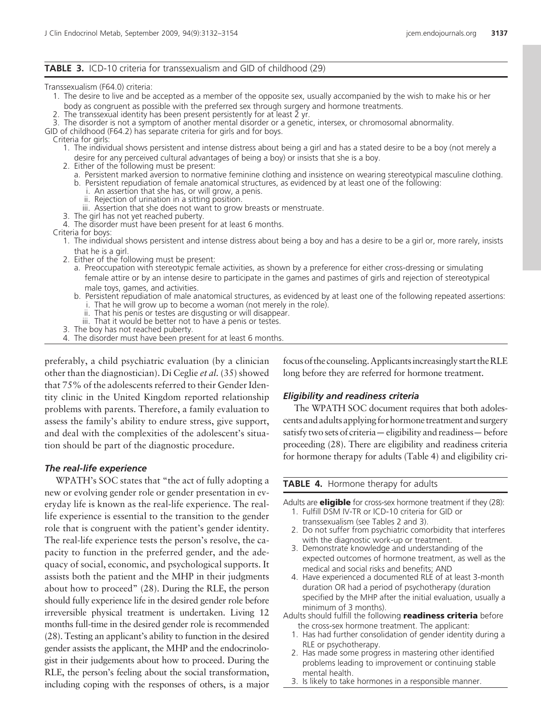#### **TABLE 3.** ICD-10 criteria for transsexualism and GID of childhood (29)

Transsexualism (F64.0) criteria:

- 1. The desire to live and be accepted as a member of the opposite sex, usually accompanied by the wish to make his or her body as congruent as possible with the preferred sex through surgery and hormone treatments.
- 2. The transsexual identity has been present persistently for at least 2 yr.
- 3. The disorder is not a symptom of another mental disorder or a genetic, intersex, or chromosomal abnormality.
- GID of childhood (F64.2) has separate criteria for girls and for boys.
	- Criteria for girls:
		- 1. The individual shows persistent and intense distress about being a girl and has a stated desire to be a boy (not merely a desire for any perceived cultural advantages of being a boy) or insists that she is a boy.
		- 2. Either of the following must be present:
			- a. Persistent marked aversion to normative feminine clothing and insistence on wearing stereotypical masculine clothing. b. Persistent repudiation of female anatomical structures, as evidenced by at least one of the following:
				- i. An assertion that she has, or will grow, a penis.
				- ii. Rejection of urination in a sitting position.
				- iii. Assertion that she does not want to grow breasts or menstruate.
		- 3. The girl has not yet reached puberty.
		- 4. The disorder must have been present for at least 6 months.

Criteria for boys:

- 1. The individual shows persistent and intense distress about being a boy and has a desire to be a girl or, more rarely, insists that he is a girl.
- 2. Either of the following must be present:
	- a. Preoccupation with stereotypic female activities, as shown by a preference for either cross-dressing or simulating female attire or by an intense desire to participate in the games and pastimes of girls and rejection of stereotypical male toys, games, and activities.
	- b. Persistent repudiation of male anatomical structures, as evidenced by at least one of the following repeated assertions: i. That he will grow up to become a woman (not merely in the role).
	- ii. That his penis or testes are disgusting or will disappear.
	- iii. That it would be better not to have a penis or testes.
- 3. The boy has not reached puberty.
- 4. The disorder must have been present for at least 6 months.

preferably, a child psychiatric evaluation (by a clinician other than the diagnostician). Di Ceglie *et al.* (35) showed that 75% of the adolescents referred to their Gender Identity clinic in the United Kingdom reported relationship problems with parents. Therefore, a family evaluation to assess the family's ability to endure stress, give support, and deal with the complexities of the adolescent's situation should be part of the diagnostic procedure.

#### *The real-life experience*

WPATH's SOC states that "the act of fully adopting a new or evolving gender role or gender presentation in everyday life is known as the real-life experience. The reallife experience is essential to the transition to the gender role that is congruent with the patient's gender identity*.* The real-life experience tests the person's resolve, the capacity to function in the preferred gender, and the adequacy of social, economic, and psychological supports. It assists both the patient and the MHP in their judgments about how to proceed" (28). During the RLE, the person should fully experience life in the desired gender role before irreversible physical treatment is undertaken. Living 12 months full-time in the desired gender role is recommended (28). Testing an applicant's ability to function in the desired gender assists the applicant, the MHP and the endocrinologist in their judgements about how to proceed. During the RLE, the person's feeling about the social transformation, including coping with the responses of others, is a major focus of the counseling.Applicantsincreasingly start theRLE long before they are referred for hormone treatment.

## *Eligibility and readiness criteria*

The WPATH SOC document requires that both adolescents and adults applying for hormone treatment and surgery satisfy two sets of criteria—eligibility and readiness—before proceeding (28). There are eligibility and readiness criteria for hormone therapy for adults (Table 4) and eligibility cri-

#### **TABLE 4.** Hormone therapy for adults

Adults are **eligible** for cross-sex hormone treatment if they (28):

- 1. Fulfill DSM IV-TR or ICD-10 criteria for GID or transsexualism (see Tables 2 and 3).
- 2. Do not suffer from psychiatric comorbidity that interferes with the diagnostic work-up or treatment.
- 3. Demonstrate knowledge and understanding of the expected outcomes of hormone treatment, as well as the medical and social risks and benefits; AND
- 4. Have experienced a documented RLE of at least 3-month duration OR had a period of psychotherapy (duration specified by the MHP after the initial evaluation, usually a minimum of 3 months).
- Adults should fulfill the following **readiness criteria** before the cross-sex hormone treatment. The applicant:
	- 1. Has had further consolidation of gender identity during a RLE or psychotherapy.
	- 2. Has made some progress in mastering other identified problems leading to improvement or continuing stable mental health.
	- 3. Is likely to take hormones in a responsible manner.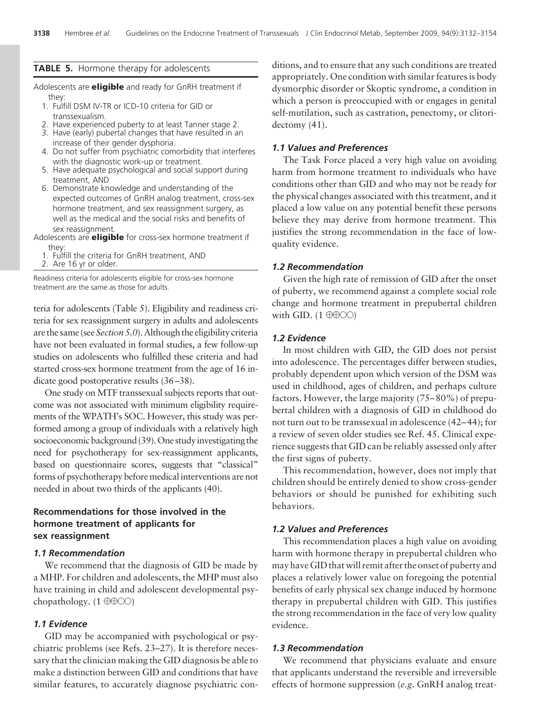#### **TABLE 5.** Hormone therapy for adolescents

Adolescents are **eligible** and ready for GnRH treatment if they:

- 1. Fulfill DSM IV-TR or ICD-10 criteria for GID or transsexualism.
- 2. Have experienced puberty to at least Tanner stage 2.
- 3. Have (early) pubertal changes that have resulted in an increase of their gender dysphoria.
- 4. Do not suffer from psychiatric comorbidity that interferes with the diagnostic work-up or treatment.
- 5. Have adequate psychological and social support during treatment, AND
- 6. Demonstrate knowledge and understanding of the expected outcomes of GnRH analog treatment, cross-sex hormone treatment, and sex reassignment surgery, as well as the medical and the social risks and benefits of sex reassignment.
- Adolescents are **eligible** for cross-sex hormone treatment if they:
	- 1. Fulfill the criteria for GnRH treatment, AND

2. Are 16 yr or older.

Readiness criteria for adolescents eligible for cross-sex hormone treatment are the same as those for adults.

teria for adolescents (Table 5). Eligibility and readiness criteria for sex reassignment surgery in adults and adolescents are the same (see *Section 5.0*). Although the eligibility criteria have not been evaluated in formal studies, a few follow-up studies on adolescents who fulfilled these criteria and had started cross-sex hormone treatment from the age of 16 indicate good postoperative results (36 –38).

One study on MTF transsexual subjects reports that outcome was not associated with minimum eligibility requirements of the WPATH's SOC. However, this study was performed among a group of individuals with a relatively high socioeconomic background (39). One study investigating the need for psychotherapy for sex-reassignment applicants, based on questionnaire scores, suggests that "classical" forms of psychotherapy before medical interventions are not needed in about two thirds of the applicants (40).

## **Recommendations for those involved in the hormone treatment of applicants for sex reassignment**

#### *1.1 Recommendation*

We recommend that the diagnosis of GID be made by a MHP. For children and adolescents, the MHP must also have training in child and adolescent developmental psychopathology.  $(1 \oplus \oplus \odot)$ 

#### *1.1 Evidence*

GID may be accompanied with psychological or psychiatric problems (see Refs. 23–27). It is therefore necessary that the clinician making the GID diagnosis be able to make a distinction between GID and conditions that have similar features, to accurately diagnose psychiatric conditions, and to ensure that any such conditions are treated appropriately. One condition with similar features is body dysmorphic disorder or Skoptic syndrome, a condition in which a person is preoccupied with or engages in genital self-mutilation, such as castration, penectomy, or clitoridectomy (41).

#### *1.1 Values and Preferences*

The Task Force placed a very high value on avoiding harm from hormone treatment to individuals who have conditions other than GID and who may not be ready for the physical changes associated with this treatment, and it placed a low value on any potential benefit these persons believe they may derive from hormone treatment. This justifies the strong recommendation in the face of lowquality evidence.

#### *1.2 Recommendation*

Given the high rate of remission of GID after the onset of puberty, we recommend against a complete social role change and hormone treatment in prepubertal children with GID.  $(1 \oplus \oplus \odot)$ 

## *1.2 Evidence*

In most children with GID, the GID does not persist into adolescence. The percentages differ between studies, probably dependent upon which version of the DSM was used in childhood, ages of children, and perhaps culture factors. However, the large majority (75– 80%) of prepubertal children with a diagnosis of GID in childhood do not turn out to be transsexual in adolescence (42– 44); for a review of seven older studies see Ref. 45. Clinical experience suggests that GID can be reliably assessed only after the first signs of puberty.

This recommendation, however, does not imply that children should be entirely denied to show cross-gender behaviors or should be punished for exhibiting such behaviors.

## *1.2 Values and Preferences*

This recommendation places a high value on avoiding harm with hormone therapy in prepubertal children who may have GID that will remit after the onset of puberty and places a relatively lower value on foregoing the potential benefits of early physical sex change induced by hormone therapy in prepubertal children with GID. This justifies the strong recommendation in the face of very low quality evidence.

#### *1.3 Recommendation*

We recommend that physicians evaluate and ensure that applicants understand the reversible and irreversible effects of hormone suppression (*e.g.* GnRH analog treat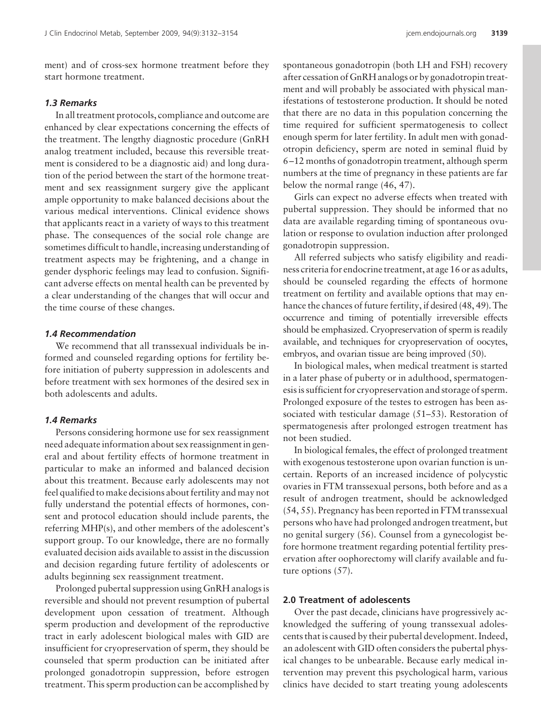ment) and of cross-sex hormone treatment before they start hormone treatment.

## *1.3 Remarks*

In all treatment protocols, compliance and outcome are enhanced by clear expectations concerning the effects of the treatment. The lengthy diagnostic procedure (GnRH analog treatment included, because this reversible treatment is considered to be a diagnostic aid) and long duration of the period between the start of the hormone treatment and sex reassignment surgery give the applicant ample opportunity to make balanced decisions about the various medical interventions. Clinical evidence shows that applicants react in a variety of ways to this treatment phase. The consequences of the social role change are sometimes difficult to handle, increasing understanding of treatment aspects may be frightening, and a change in gender dysphoric feelings may lead to confusion. Significant adverse effects on mental health can be prevented by a clear understanding of the changes that will occur and the time course of these changes.

## *1.4 Recommendation*

We recommend that all transsexual individuals be informed and counseled regarding options for fertility before initiation of puberty suppression in adolescents and before treatment with sex hormones of the desired sex in both adolescents and adults.

## *1.4 Remarks*

Persons considering hormone use for sex reassignment need adequate information about sex reassignment in general and about fertility effects of hormone treatment in particular to make an informed and balanced decision about this treatment. Because early adolescents may not feel qualified to make decisions about fertility and may not fully understand the potential effects of hormones, consent and protocol education should include parents, the referring MHP(s), and other members of the adolescent's support group. To our knowledge, there are no formally evaluated decision aids available to assist in the discussion and decision regarding future fertility of adolescents or adults beginning sex reassignment treatment.

Prolonged pubertal suppression using GnRH analogs is reversible and should not prevent resumption of pubertal development upon cessation of treatment. Although sperm production and development of the reproductive tract in early adolescent biological males with GID are insufficient for cryopreservation of sperm, they should be counseled that sperm production can be initiated after prolonged gonadotropin suppression, before estrogen treatment. This sperm production can be accomplished by

spontaneous gonadotropin (both LH and FSH) recovery after cessation of GnRH analogs or by gonadotropin treatment and will probably be associated with physical manifestations of testosterone production. It should be noted that there are no data in this population concerning the time required for sufficient spermatogenesis to collect enough sperm for later fertility. In adult men with gonadotropin deficiency, sperm are noted in seminal fluid by 6 –12 months of gonadotropin treatment, although sperm numbers at the time of pregnancy in these patients are far below the normal range (46, 47).

Girls can expect no adverse effects when treated with pubertal suppression. They should be informed that no data are available regarding timing of spontaneous ovulation or response to ovulation induction after prolonged gonadotropin suppression.

All referred subjects who satisfy eligibility and readiness criteria for endocrine treatment, at age 16 or as adults, should be counseled regarding the effects of hormone treatment on fertility and available options that may enhance the chances of future fertility, if desired (48, 49). The occurrence and timing of potentially irreversible effects should be emphasized. Cryopreservation of sperm is readily available, and techniques for cryopreservation of oocytes, embryos, and ovarian tissue are being improved (50).

In biological males, when medical treatment is started in a later phase of puberty or in adulthood, spermatogenesis is sufficient for cryopreservation and storage of sperm. Prolonged exposure of the testes to estrogen has been associated with testicular damage (51–53). Restoration of spermatogenesis after prolonged estrogen treatment has not been studied.

In biological females, the effect of prolonged treatment with exogenous testosterone upon ovarian function is uncertain. Reports of an increased incidence of polycystic ovaries in FTM transsexual persons, both before and as a result of androgen treatment, should be acknowledged (54, 55). Pregnancy has been reported in FTM transsexual persons who have had prolonged androgen treatment, but no genital surgery (56). Counsel from a gynecologist before hormone treatment regarding potential fertility preservation after oophorectomy will clarify available and future options (57).

#### **2.0 Treatment of adolescents**

Over the past decade, clinicians have progressively acknowledged the suffering of young transsexual adolescents that is caused by their pubertal development. Indeed, an adolescent with GID often considers the pubertal physical changes to be unbearable. Because early medical intervention may prevent this psychological harm, various clinics have decided to start treating young adolescents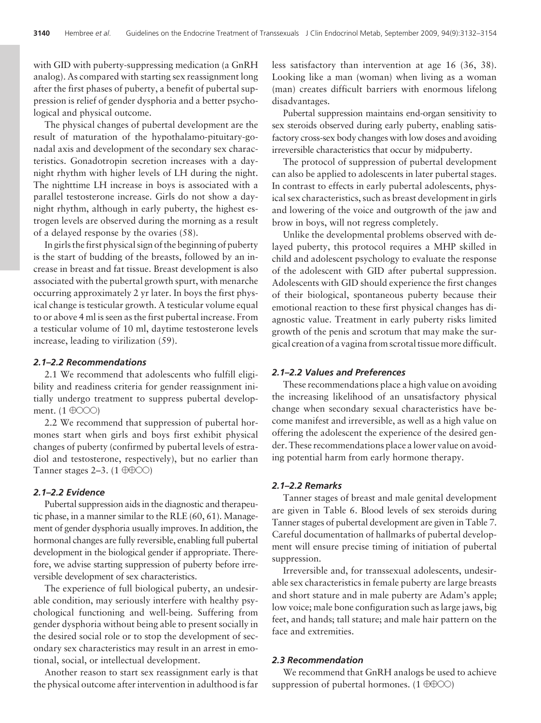with GID with puberty-suppressing medication (a GnRH analog). As compared with starting sex reassignment long after the first phases of puberty, a benefit of pubertal suppression is relief of gender dysphoria and a better psychological and physical outcome.

The physical changes of pubertal development are the result of maturation of the hypothalamo-pituitary-gonadal axis and development of the secondary sex characteristics. Gonadotropin secretion increases with a daynight rhythm with higher levels of LH during the night. The nighttime LH increase in boys is associated with a parallel testosterone increase. Girls do not show a daynight rhythm, although in early puberty, the highest estrogen levels are observed during the morning as a result of a delayed response by the ovaries (58).

In girls the first physical sign of the beginning of puberty is the start of budding of the breasts, followed by an increase in breast and fat tissue. Breast development is also associated with the pubertal growth spurt, with menarche occurring approximately 2 yr later. In boys the first physical change is testicular growth. A testicular volume equal to or above 4 ml is seen as the first pubertal increase. From a testicular volume of 10 ml, daytime testosterone levels increase, leading to virilization (59).

#### *2.1–2.2 Recommendations*

2.1 We recommend that adolescents who fulfill eligibility and readiness criteria for gender reassignment initially undergo treatment to suppress pubertal development.  $(1 \oplus \odot \odot)$ 

2.2 We recommend that suppression of pubertal hormones start when girls and boys first exhibit physical changes of puberty (confirmed by pubertal levels of estradiol and testosterone, respectively), but no earlier than Tanner stages 2–3.  $(1 \oplus \oplus \odot)$ 

## *2.1–2.2 Evidence*

Pubertal suppression aids in the diagnostic and therapeutic phase, in a manner similar to the RLE (60, 61). Management of gender dysphoria usually improves. In addition, the hormonal changes are fully reversible, enabling full pubertal development in the biological gender if appropriate. Therefore, we advise starting suppression of puberty before irreversible development of sex characteristics.

The experience of full biological puberty, an undesirable condition, may seriously interfere with healthy psychological functioning and well-being. Suffering from gender dysphoria without being able to present socially in the desired social role or to stop the development of secondary sex characteristics may result in an arrest in emotional, social, or intellectual development.

Another reason to start sex reassignment early is that the physical outcome after intervention in adulthood is far

less satisfactory than intervention at age 16 (36, 38). Looking like a man (woman) when living as a woman (man) creates difficult barriers with enormous lifelong disadvantages.

Pubertal suppression maintains end-organ sensitivity to sex steroids observed during early puberty, enabling satisfactory cross-sex body changes with low doses and avoiding irreversible characteristics that occur by midpuberty.

The protocol of suppression of pubertal development can also be applied to adolescents in later pubertal stages. In contrast to effects in early pubertal adolescents, physical sex characteristics, such as breast development in girls and lowering of the voice and outgrowth of the jaw and brow in boys, will not regress completely.

Unlike the developmental problems observed with delayed puberty, this protocol requires a MHP skilled in child and adolescent psychology to evaluate the response of the adolescent with GID after pubertal suppression. Adolescents with GID should experience the first changes of their biological, spontaneous puberty because their emotional reaction to these first physical changes has diagnostic value. Treatment in early puberty risks limited growth of the penis and scrotum that may make the surgical creation of a vagina from scrotal tissue more difficult.

### *2.1–2.2 Values and Preferences*

These recommendations place a high value on avoiding the increasing likelihood of an unsatisfactory physical change when secondary sexual characteristics have become manifest and irreversible, as well as a high value on offering the adolescent the experience of the desired gender. These recommendations place a lower value on avoiding potential harm from early hormone therapy.

#### *2.1–2.2 Remarks*

Tanner stages of breast and male genital development are given in Table 6. Blood levels of sex steroids during Tanner stages of pubertal development are given in Table 7. Careful documentation of hallmarks of pubertal development will ensure precise timing of initiation of pubertal suppression.

Irreversible and, for transsexual adolescents, undesirable sex characteristics in female puberty are large breasts and short stature and in male puberty are Adam's apple; low voice; male bone configuration such as large jaws, big feet, and hands; tall stature; and male hair pattern on the face and extremities.

#### *2.3 Recommendation*

We recommend that GnRH analogs be used to achieve suppression of pubertal hormones. (1 $\oplus \oplus \odot$ )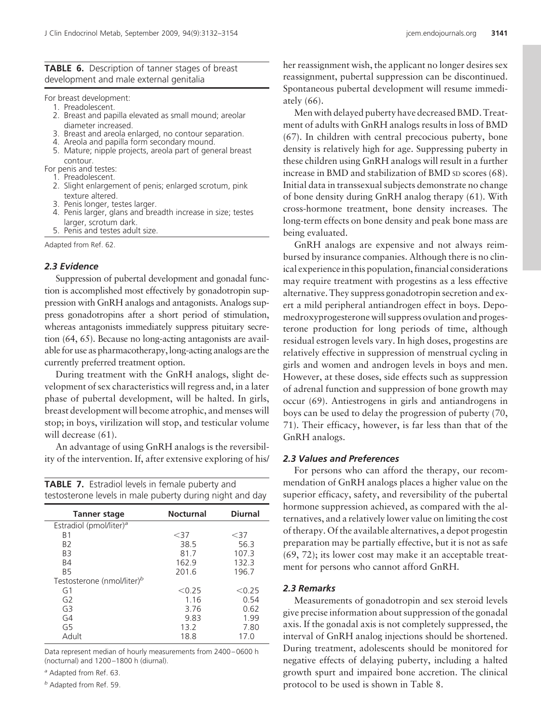### **TABLE 6.** Description of tanner stages of breast development and male external genitalia

For breast development:

- 1. Preadolescent.
- 2. Breast and papilla elevated as small mound; areolar diameter increased.
- 3. Breast and areola enlarged, no contour separation.
- 4. Areola and papilla form secondary mound.
- 5. Mature; nipple projects, areola part of general breast contour.

For penis and testes:

- 1. Preadolescent.
- 2. Slight enlargement of penis; enlarged scrotum, pink texture altered.
- 3. Penis longer, testes larger.
- 4. Penis larger, glans and breadth increase in size; testes larger, scrotum dark.
- 5. Penis and testes adult size.

Adapted from Ref. 62.

#### *2.3 Evidence*

Suppression of pubertal development and gonadal function is accomplished most effectively by gonadotropin suppression with GnRH analogs and antagonists. Analogs suppress gonadotropins after a short period of stimulation, whereas antagonists immediately suppress pituitary secretion (64, 65). Because no long-acting antagonists are available for use as pharmacotherapy, long-acting analogs are the currently preferred treatment option.

During treatment with the GnRH analogs, slight development of sex characteristics will regress and, in a later phase of pubertal development, will be halted. In girls, breast development will become atrophic, and menses will stop; in boys, virilization will stop, and testicular volume will decrease (61).

An advantage of using GnRH analogs is the reversibility of the intervention. If, after extensive exploring of his/

|  |  | <b>TABLE 7.</b> Estradiol levels in female puberty and   |  |  |
|--|--|----------------------------------------------------------|--|--|
|  |  | testosterone levels in male puberty during night and day |  |  |

| <b>Tanner stage</b>                    | <b>Nocturnal</b> | <b>Diurnal</b> |
|----------------------------------------|------------------|----------------|
| Estradiol (pmol/liter) <sup>a</sup>    |                  |                |
| <b>B1</b>                              | $<$ 37           | $<$ 37         |
| B <sub>2</sub>                         | 38.5             | 56.3           |
| B3                                     | 817              | 107.3          |
| B4                                     | 162.9            | 1323           |
| B5                                     | 201.6            | 196.7          |
| Testosterone (nmol/liter) <sup>b</sup> |                  |                |
| G <sub>1</sub>                         | $<$ 0 25         | $<$ 0 25       |
| G <sub>2</sub>                         | 1 1 6            | 0.54           |
| G3                                     | 3.76             | 0.62           |
| G4                                     | 983              | 1.99           |
| G5                                     | 13.2             | 7.80           |
| Adult                                  | 18.8             | 170            |

Data represent median of hourly measurements from 2400-0600 h (nocturnal) and 1200 –1800 h (diurnal).

*<sup>a</sup>* Adapted from Ref. 63.

*<sup>b</sup>* Adapted from Ref. 59.

her reassignment wish, the applicant no longer desires sex reassignment, pubertal suppression can be discontinued. Spontaneous pubertal development will resume immediately (66).

Men with delayed puberty have decreased BMD. Treatment of adults with GnRH analogs results in loss of BMD (67). In children with central precocious puberty, bone density is relatively high for age. Suppressing puberty in these children using GnRH analogs will result in a further increase in BMD and stabilization of BMD SD scores (68). Initial data in transsexual subjects demonstrate no change of bone density during GnRH analog therapy (61). With cross-hormone treatment, bone density increases. The long-term effects on bone density and peak bone mass are being evaluated.

GnRH analogs are expensive and not always reimbursed by insurance companies. Although there is no clinical experience in this population, financial considerations may require treatment with progestins as a less effective alternative. They suppress gonadotropin secretion and exert a mild peripheral antiandrogen effect in boys. Depomedroxyprogesterone will suppress ovulation and progesterone production for long periods of time, although residual estrogen levels vary. In high doses, progestins are relatively effective in suppression of menstrual cycling in girls and women and androgen levels in boys and men. However, at these doses, side effects such as suppression of adrenal function and suppression of bone growth may occur (69). Antiestrogens in girls and antiandrogens in boys can be used to delay the progression of puberty (70, 71). Their efficacy, however, is far less than that of the GnRH analogs.

## *2.3 Values and Preferences*

For persons who can afford the therapy, our recommendation of GnRH analogs places a higher value on the superior efficacy, safety, and reversibility of the pubertal hormone suppression achieved, as compared with the alternatives, and a relatively lower value on limiting the cost of therapy. Of the available alternatives, a depot progestin preparation may be partially effective, but it is not as safe (69, 72); its lower cost may make it an acceptable treatment for persons who cannot afford GnRH.

### *2.3 Remarks*

Measurements of gonadotropin and sex steroid levels give precise information about suppression of the gonadal axis. If the gonadal axis is not completely suppressed, the interval of GnRH analog injections should be shortened. During treatment, adolescents should be monitored for negative effects of delaying puberty, including a halted growth spurt and impaired bone accretion. The clinical protocol to be used is shown in Table 8.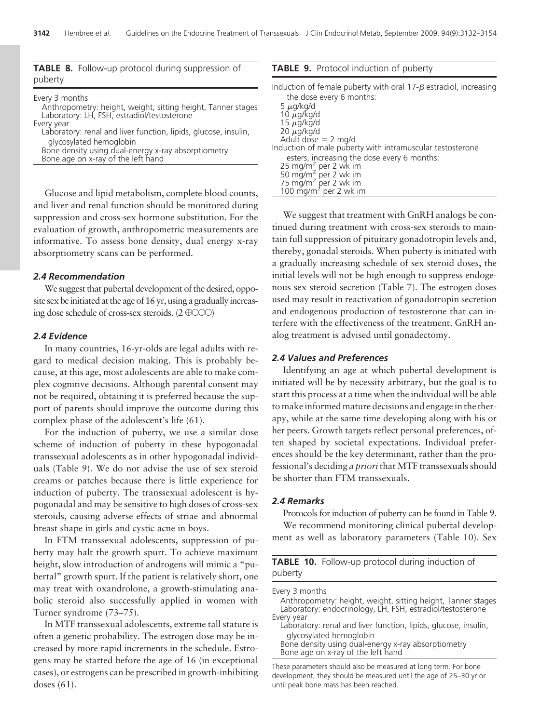**TABLE 8.** Follow-up protocol during suppression of puberty

#### Every 3 months

Anthropometry: height, weight, sitting height, Tanner stages Laboratory: LH, FSH, estradiol/testosterone Every year

Laboratory: renal and liver function, lipids, glucose, insulin, glycosylated hemoglobin

Bone density using dual-energy x-ray absorptiometry

Bone age on x-ray of the left hand

Glucose and lipid metabolism, complete blood counts, and liver and renal function should be monitored during suppression and cross-sex hormone substitution. For the evaluation of growth, anthropometric measurements are informative. To assess bone density, dual energy x-ray absorptiometry scans can be performed.

#### *2.4 Recommendation*

We suggest that pubertal development of the desired, opposite sex be initiated at the age of 16 yr, using a gradually increasing dose schedule of cross-sex steroids.  $(2 \oplus \odot \odot)$ 

#### *2.4 Evidence*

In many countries, 16-yr-olds are legal adults with regard to medical decision making. This is probably because, at this age, most adolescents are able to make complex cognitive decisions. Although parental consent may not be required, obtaining it is preferred because the support of parents should improve the outcome during this complex phase of the adolescent's life (61).

For the induction of puberty, we use a similar dose scheme of induction of puberty in these hypogonadal transsexual adolescents as in other hypogonadal individuals (Table 9). We do not advise the use of sex steroid creams or patches because there is little experience for induction of puberty. The transsexual adolescent is hypogonadal and may be sensitive to high doses of cross-sex steroids, causing adverse effects of striae and abnormal breast shape in girls and cystic acne in boys.

In FTM transsexual adolescents, suppression of puberty may halt the growth spurt. To achieve maximum height, slow introduction of androgens will mimic a "pubertal" growth spurt. If the patient is relatively short, one may treat with oxandrolone, a growth-stimulating anabolic steroid also successfully applied in women with Turner syndrome (73–75).

In MTF transsexual adolescents, extreme tall stature is often a genetic probability. The estrogen dose may be increased by more rapid increments in the schedule. Estrogens may be started before the age of 16 (in exceptional cases), or estrogens can be prescribed in growth-inhibiting doses (61).

#### **TABLE 9.** Protocol induction of puberty

| Induction of female puberty with oral $17-\beta$ estradiol, increasing<br>the dose every 6 months: |
|----------------------------------------------------------------------------------------------------|
| 5 $\mu$ g/kg/d                                                                                     |
| $10 \mu q/kg/d$                                                                                    |
| $15 \mu g/kg/d$                                                                                    |
| $20 \mu g/kg/d$                                                                                    |
| Adult dose $= 2$ mg/d                                                                              |
| Induction of male puberty with intramuscular testosterone                                          |
| esters, increasing the dose every 6 months:                                                        |
| 25 mg/m <sup>2</sup> per 2 wk im                                                                   |
| 50 mg/m <sup>2</sup> per 2 wk im                                                                   |
| 75 mg/m <sup>2</sup> per 2 wk im<br>100 mg/m <sup>2</sup> per 2 wk im                              |
|                                                                                                    |

We suggest that treatment with GnRH analogs be continued during treatment with cross-sex steroids to maintain full suppression of pituitary gonadotropin levels and, thereby, gonadal steroids. When puberty is initiated with a gradually increasing schedule of sex steroid doses, the initial levels will not be high enough to suppress endogenous sex steroid secretion (Table 7). The estrogen doses used may result in reactivation of gonadotropin secretion and endogenous production of testosterone that can interfere with the effectiveness of the treatment. GnRH analog treatment is advised until gonadectomy.

#### *2.4 Values and Preferences*

Identifying an age at which pubertal development is initiated will be by necessity arbitrary, but the goal is to start this process at a time when the individual will be able to make informed mature decisions and engage in the therapy, while at the same time developing along with his or her peers. Growth targets reflect personal preferences, often shaped by societal expectations. Individual preferences should be the key determinant, rather than the professional's deciding *a priori* that MTF transsexuals should be shorter than FTM transsexuals.

#### *2.4 Remarks*

Protocols for induction of puberty can be found in Table 9. We recommend monitoring clinical pubertal development as well as laboratory parameters (Table 10). Sex

|         | TABLE 10. Follow-up protocol during induction of |  |  |
|---------|--------------------------------------------------|--|--|
| puberty |                                                  |  |  |

Every 3 months Anthropometry: height, weight, sitting height, Tanner stages Laboratory: endocrinology, LH, FSH, estradiol/testosterone Every year

Laboratory: renal and liver function, lipids, glucose, insulin, glycosylated hemoglobin

Bone density using dual-energy x-ray absorptiometry Bone age on x-ray of the left hand

These parameters should also be measured at long term. For bone development, they should be measured until the age of 25–30 yr or until peak bone mass has been reached.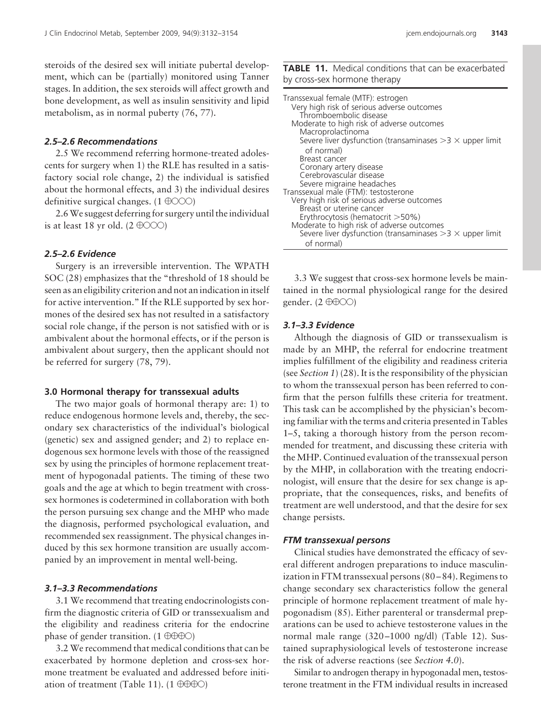steroids of the desired sex will initiate pubertal development, which can be (partially) monitored using Tanner stages. In addition, the sex steroids will affect growth and bone development, as well as insulin sensitivity and lipid metabolism, as in normal puberty (76, 77).

#### *2.5–2.6 Recommendations*

2.5 We recommend referring hormone-treated adolescents for surgery when 1) the RLE has resulted in a satisfactory social role change, 2) the individual is satisfied about the hormonal effects, and 3) the individual desires definitive surgical changes.  $(1 \oplus \odot \odot)$ 

2.6We suggest deferring for surgery until the individual is at least 18 yr old.  $(2 \oplus \odot \odot)$ 

#### *2.5–2.6 Evidence*

Surgery is an irreversible intervention. The WPATH SOC (28) emphasizes that the "threshold of 18 should be seen as an eligibility criterion and not an indication in itself for active intervention." If the RLE supported by sex hormones of the desired sex has not resulted in a satisfactory social role change, if the person is not satisfied with or is ambivalent about the hormonal effects, or if the person is ambivalent about surgery, then the applicant should not be referred for surgery (78, 79).

#### **3.0 Hormonal therapy for transsexual adults**

The two major goals of hormonal therapy are: 1) to reduce endogenous hormone levels and, thereby, the secondary sex characteristics of the individual's biological (genetic) sex and assigned gender; and 2) to replace endogenous sex hormone levels with those of the reassigned sex by using the principles of hormone replacement treatment of hypogonadal patients. The timing of these two goals and the age at which to begin treatment with crosssex hormones is codetermined in collaboration with both the person pursuing sex change and the MHP who made the diagnosis, performed psychological evaluation, and recommended sex reassignment. The physical changes induced by this sex hormone transition are usually accompanied by an improvement in mental well-being.

### *3.1–3.3 Recommendations*

3.1 We recommend that treating endocrinologists confirm the diagnostic criteria of GID or transsexualism and the eligibility and readiness criteria for the endocrine phase of gender transition. (1 $\oplus$  $\oplus$  $\oplus$  $\odot$ )

3.2 We recommend that medical conditions that can be exacerbated by hormone depletion and cross-sex hormone treatment be evaluated and addressed before initiation of treatment (Table 11). (1 0000)

## **TABLE 11.** Medical conditions that can be exacerbated by cross-sex hormone therapy

| Transsexual female (MTF): estrogen<br>Very high risk of serious adverse outcomes<br>Thromboembolic disease<br>Moderate to high risk of adverse outcomes<br>Macroprolactinoma |
|------------------------------------------------------------------------------------------------------------------------------------------------------------------------------|
| Severe liver dysfunction (transaminases $>3 \times$ upper limit                                                                                                              |
| of normal)                                                                                                                                                                   |
| Breast cancer                                                                                                                                                                |
| Coronary artery disease                                                                                                                                                      |
| Cerebrovascular disease                                                                                                                                                      |
| Severe migraine headaches                                                                                                                                                    |
| Transsexual male (FTM): testosterone                                                                                                                                         |
| Very high risk of serious adverse outcomes                                                                                                                                   |
| Breast or uterine cancer                                                                                                                                                     |
| Erythrocytosis (hematocrit $>50\%$ )                                                                                                                                         |
| Moderate to high risk of adverse outcomes                                                                                                                                    |
| Severe liver dysfunction (transaminases $>3 \times$ upper limit                                                                                                              |
| of normal)                                                                                                                                                                   |

3.3 We suggest that cross-sex hormone levels be maintained in the normal physiological range for the desired gender.  $(2 \oplus \oplus \odot \odot)$ 

#### *3.1–3.3 Evidence*

Although the diagnosis of GID or transsexualism is made by an MHP, the referral for endocrine treatment implies fulfillment of the eligibility and readiness criteria (see *Section 1*) (28). It is the responsibility of the physician to whom the transsexual person has been referred to confirm that the person fulfills these criteria for treatment. This task can be accomplished by the physician's becoming familiar with the terms and criteria presented in Tables 1–5, taking a thorough history from the person recommended for treatment, and discussing these criteria with the MHP. Continued evaluation of the transsexual person by the MHP, in collaboration with the treating endocrinologist, will ensure that the desire for sex change is appropriate, that the consequences, risks, and benefits of treatment are well understood, and that the desire for sex change persists.

### *FTM transsexual persons*

Clinical studies have demonstrated the efficacy of several different androgen preparations to induce masculinization in FTM transsexual persons (80 – 84). Regimens to change secondary sex characteristics follow the general principle of hormone replacement treatment of male hypogonadism (85). Either parenteral or transdermal preparations can be used to achieve testosterone values in the normal male range (320 –1000 ng/dl) (Table 12). Sustained supraphysiological levels of testosterone increase the risk of adverse reactions (see *Section 4.0*).

Similar to androgen therapy in hypogonadal men, testosterone treatment in the FTM individual results in increased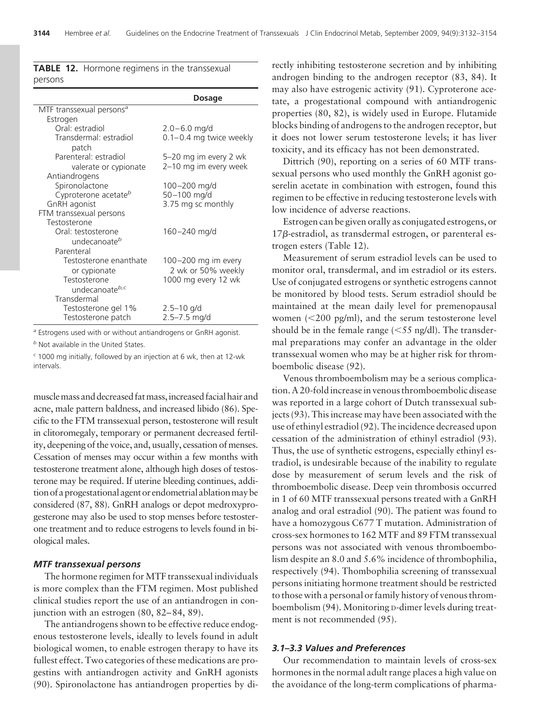| <b>Dosage</b>           |
|-------------------------|
|                         |
|                         |
| $2.0 - 6.0$ mg/d        |
| 0.1-0.4 mg twice weekly |
|                         |
| 5–20 mg im every 2 wk   |
| 2–10 mg im every week   |
|                         |
| 100-200 mg/d            |
| 50-100 mg/d             |
| 3.75 mg sc monthly      |
|                         |
| 160–240 mg/d            |
|                         |
|                         |
| 100–200 mg im every     |
| 2 wk or 50% weekly      |
| 1000 mg every 12 wk     |
|                         |
|                         |
| $2.5 - 10$ g/d          |
| 2.5–7.5 mg/d            |
|                         |

**TABLE 12.** Hormone regimens in the transsexual persons

*<sup>a</sup>* Estrogens used with or without antiandrogens or GnRH agonist.

*<sup>b</sup>* Not available in the United States.

*<sup>c</sup>* 1000 mg initially, followed by an injection at 6 wk, then at 12-wk intervals.

musclemass and decreased fatmass,increased facial hair and acne, male pattern baldness, and increased libido (86). Specific to the FTM transsexual person, testosterone will result in clitoromegaly, temporary or permanent decreased fertility, deepening of the voice, and, usually, cessation of menses. Cessation of menses may occur within a few months with testosterone treatment alone, although high doses of testosterone may be required. If uterine bleeding continues, addition of a progestational agent or endometrial ablationmay be considered (87, 88). GnRH analogs or depot medroxyprogesterone may also be used to stop menses before testosterone treatment and to reduce estrogens to levels found in biological males.

#### *MTF transsexual persons*

The hormone regimen for MTF transsexual individuals is more complex than the FTM regimen. Most published clinical studies report the use of an antiandrogen in conjunction with an estrogen (80, 82– 84, 89).

The antiandrogens shown to be effective reduce endogenous testosterone levels, ideally to levels found in adult biological women, to enable estrogen therapy to have its fullest effect. Two categories of these medications are progestins with antiandrogen activity and GnRH agonists (90). Spironolactone has antiandrogen properties by directly inhibiting testosterone secretion and by inhibiting androgen binding to the androgen receptor (83, 84). It may also have estrogenic activity (91). Cyproterone acetate, a progestational compound with antiandrogenic properties (80, 82), is widely used in Europe. Flutamide blocks binding of androgens to the androgen receptor, but it does not lower serum testosterone levels; it has liver toxicity, and its efficacy has not been demonstrated.

Dittrich (90), reporting on a series of 60 MTF transsexual persons who used monthly the GnRH agonist goserelin acetate in combination with estrogen, found this regimen to be effective in reducing testosterone levels with low incidence of adverse reactions.

Estrogen can be given orally as conjugated estrogens, or  $17\beta$ -estradiol, as transdermal estrogen, or parenteral estrogen esters (Table 12).

Measurement of serum estradiol levels can be used to monitor oral, transdermal, and im estradiol or its esters. Use of conjugated estrogens or synthetic estrogens cannot be monitored by blood tests. Serum estradiol should be maintained at the mean daily level for premenopausal women (<200 pg/ml), and the serum testosterone level should be in the female range ( $<$ 55 ng/dl). The transdermal preparations may confer an advantage in the older transsexual women who may be at higher risk for thromboembolic disease (92).

Venous thromboembolism may be a serious complication. A 20-fold increase in venous thromboembolic disease was reported in a large cohort of Dutch transsexual subjects (93). This increase may have been associated with the use of ethinyl estradiol (92). The incidence decreased upon cessation of the administration of ethinyl estradiol (93). Thus, the use of synthetic estrogens, especially ethinyl estradiol, is undesirable because of the inability to regulate dose by measurement of serum levels and the risk of thromboembolic disease. Deep vein thrombosis occurred in 1 of 60 MTF transsexual persons treated with a GnRH analog and oral estradiol (90). The patient was found to have a homozygous C677 T mutation. Administration of cross-sex hormones to 162 MTF and 89 FTM transsexual persons was not associated with venous thromboembolism despite an 8.0 and 5.6% incidence of thrombophilia, respectively (94). Thombophilia screening of transsexual persons initiating hormone treatment should be restricted to those with a personal or family history of venous thromboembolism (94). Monitoring D-dimer levels during treatment is not recommended (95).

### *3.1–3.3 Values and Preferences*

Our recommendation to maintain levels of cross-sex hormones in the normal adult range places a high value on the avoidance of the long-term complications of pharma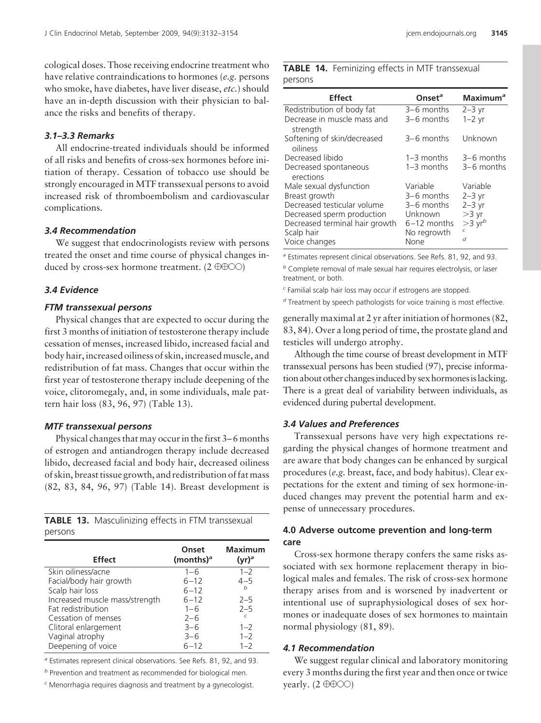cological doses. Those receiving endocrine treatment who have relative contraindications to hormones (*e.g.* persons who smoke, have diabetes, have liver disease, *etc.*) should have an in-depth discussion with their physician to balance the risks and benefits of therapy.

## *3.1–3.3 Remarks*

All endocrine-treated individuals should be informed of all risks and benefits of cross-sex hormones before initiation of therapy. Cessation of tobacco use should be strongly encouraged in MTF transsexual persons to avoid increased risk of thromboembolism and cardiovascular complications.

## *3.4 Recommendation*

We suggest that endocrinologists review with persons treated the onset and time course of physical changes induced by cross-sex hormone treatment.  $(2 \oplus \oplus \odot \odot)$ 

## *3.4 Evidence*

#### *FTM transsexual persons*

Physical changes that are expected to occur during the first 3 months of initiation of testosterone therapy include cessation of menses, increased libido, increased facial and body hair, increased oiliness of skin, increased muscle, and redistribution of fat mass. Changes that occur within the first year of testosterone therapy include deepening of the voice, clitoromegaly, and, in some individuals, male pattern hair loss (83, 96, 97) (Table 13).

### *MTF transsexual persons*

Physical changes that may occur in the first 3– 6 months of estrogen and antiandrogen therapy include decreased libido, decreased facial and body hair, decreased oiliness of skin, breast tissue growth, and redistribution of fat mass (82, 83, 84, 96, 97) (Table 14). Breast development is

**TABLE 13.** Masculinizing effects in FTM transsexual persons

| <b>Effect</b>                  | Onset<br>(months) <sup>a</sup> | <b>Maximum</b><br>$(yr)^a$ |
|--------------------------------|--------------------------------|----------------------------|
| Skin oiliness/acne             | $1 - 6$                        | $1 - 2$                    |
| Facial/body hair growth        | $6 - 12$                       | $4 - 5$                    |
| Scalp hair loss                | $6 - 12$                       | h                          |
| Increased muscle mass/strength | $6 - 12$                       | $2 - 5$                    |
| Fat redistribution             | $1 - 6$                        | $2 - 5$                    |
| Cessation of menses            | $2 - 6$                        | $\epsilon$                 |
| Clitoral enlargement           | $3 - 6$                        | $1 - 2$                    |
| Vaginal atrophy                | $3 - 6$                        | $1 - 2$                    |
| Deepening of voice             | $6 - 12$                       | $1 - 2$                    |

*<sup>a</sup>* Estimates represent clinical observations. See Refs. 81, 92, and 93.

*<sup>b</sup>* Prevention and treatment as recommended for biological men.

*<sup>c</sup>* Menorrhagia requires diagnosis and treatment by a gynecologist.

### **TABLE 14.** Feminizing effects in MTF transsexual persons

| <b>Effect</b>                           | Onset <sup>a</sup> | $Maximum^a$          |
|-----------------------------------------|--------------------|----------------------|
| Redistribution of body fat              | $3-6$ months       | $2-3$ yr             |
| Decrease in muscle mass and<br>strength | $3-6$ months       | $1-2$ yr             |
| Softening of skin/decreased<br>oiliness | $3-6$ months       | Unknown              |
| Decreased libido                        | $1-3$ months       | $3-6$ months         |
| Decreased spontaneous<br>erections      | $1-3$ months       | $3-6$ months         |
| Male sexual dysfunction                 | Variable           | Variable             |
| Breast growth                           | $3-6$ months       | $2-3$ yr             |
| Decreased testicular volume             | $3-6$ months       | $2-3$ yr             |
| Decreased sperm production              | Unknown            | $>3$ yr              |
| Decreased terminal hair growth          | $6-12$ months      | $>3$ yr <sup>b</sup> |
| Scalp hair                              | No regrowth        | $\epsilon$           |
| Voice changes                           | None               | d                    |

*<sup>a</sup>* Estimates represent clinical observations. See Refs. 81, 92, and 93.

*<sup>b</sup>* Complete removal of male sexual hair requires electrolysis, or laser treatment, or both.

*<sup>c</sup>* Familial scalp hair loss may occur if estrogens are stopped.

*<sup>d</sup>* Treatment by speech pathologists for voice training is most effective.

generally maximal at 2 yr after initiation of hormones (82, 83, 84). Over a long period of time, the prostate gland and testicles will undergo atrophy.

Although the time course of breast development in MTF transsexual persons has been studied (97), precise information about other changes induced by sex hormones is lacking. There is a great deal of variability between individuals, as evidenced during pubertal development.

## *3.4 Values and Preferences*

Transsexual persons have very high expectations regarding the physical changes of hormone treatment and are aware that body changes can be enhanced by surgical procedures (*e.g.* breast, face, and body habitus). Clear expectations for the extent and timing of sex hormone-induced changes may prevent the potential harm and expense of unnecessary procedures.

## **4.0 Adverse outcome prevention and long-term care**

Cross-sex hormone therapy confers the same risks associated with sex hormone replacement therapy in biological males and females. The risk of cross-sex hormone therapy arises from and is worsened by inadvertent or intentional use of supraphysiological doses of sex hormones or inadequate doses of sex hormones to maintain normal physiology (81, 89).

#### *4.1 Recommendation*

We suggest regular clinical and laboratory monitoring every 3 months during the first year and then once or twice yearly.  $(2 \oplus \oplus \odot \odot)$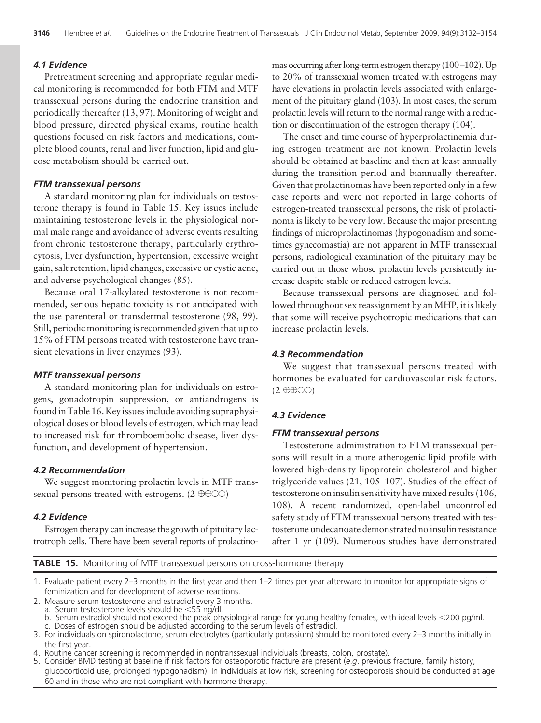#### *4.1 Evidence*

Pretreatment screening and appropriate regular medical monitoring is recommended for both FTM and MTF transsexual persons during the endocrine transition and periodically thereafter (13, 97). Monitoring of weight and blood pressure, directed physical exams, routine health questions focused on risk factors and medications, complete blood counts, renal and liver function, lipid and glucose metabolism should be carried out.

## *FTM transsexual persons*

A standard monitoring plan for individuals on testosterone therapy is found in Table 15. Key issues include maintaining testosterone levels in the physiological normal male range and avoidance of adverse events resulting from chronic testosterone therapy, particularly erythrocytosis, liver dysfunction, hypertension, excessive weight gain, salt retention, lipid changes, excessive or cystic acne, and adverse psychological changes (85).

Because oral 17-alkylated testosterone is not recommended, serious hepatic toxicity is not anticipated with the use parenteral or transdermal testosterone (98, 99). Still, periodic monitoring is recommended given that up to 15% of FTM persons treated with testosterone have transient elevations in liver enzymes (93).

## *MTF transsexual persons*

A standard monitoring plan for individuals on estrogens, gonadotropin suppression, or antiandrogens is found in Table 16. Key issues include avoiding supraphysiological doses or blood levels of estrogen, which may lead to increased risk for thromboembolic disease, liver dysfunction, and development of hypertension.

## *4.2 Recommendation*

We suggest monitoring prolactin levels in MTF transsexual persons treated with estrogens. (2  $\oplus \oplus \odot$ )

## *4.2 Evidence*

Estrogen therapy can increase the growth of pituitary lactrotroph cells. There have been several reports of prolactinomas occurring after long-term estrogen therapy (100–102). Up to 20% of transsexual women treated with estrogens may have elevations in prolactin levels associated with enlargement of the pituitary gland (103). In most cases, the serum prolactin levels will return to the normal range with a reduction or discontinuation of the estrogen therapy (104).

The onset and time course of hyperprolactinemia during estrogen treatment are not known. Prolactin levels should be obtained at baseline and then at least annually during the transition period and biannually thereafter. Given that prolactinomas have been reported only in a few case reports and were not reported in large cohorts of estrogen-treated transsexual persons, the risk of prolactinoma is likely to be very low. Because the major presenting findings of microprolactinomas (hypogonadism and sometimes gynecomastia) are not apparent in MTF transsexual persons, radiological examination of the pituitary may be carried out in those whose prolactin levels persistently increase despite stable or reduced estrogen levels.

Because transsexual persons are diagnosed and followed throughout sex reassignment by an MHP, it is likely that some will receive psychotropic medications that can increase prolactin levels.

## *4.3 Recommendation*

We suggest that transsexual persons treated with hormones be evaluated for cardiovascular risk factors.  $(2 \oplus \oplus \odot \odot)$ 

## *4.3 Evidence*

## *FTM transsexual persons*

Testosterone administration to FTM transsexual persons will result in a more atherogenic lipid profile with lowered high-density lipoprotein cholesterol and higher triglyceride values (21, 105–107). Studies of the effect of testosterone on insulin sensitivity have mixed results (106, 108). A recent randomized, open-label uncontrolled safety study of FTM transsexual persons treated with testosterone undecanoate demonstrated no insulin resistance after 1 yr (109). Numerous studies have demonstrated

**TABLE 15.** Monitoring of MTF transsexual persons on cross-hormone therapy

2. Measure serum testosterone and estradiol every 3 months.

- b. Serum estradiol should not exceed the peak physiological range for young healthy females, with ideal levels -200 pg/ml.
- c. Doses of estrogen should be adjusted according to the serum levels of estradiol.
- 3. For individuals on spironolactone, serum electrolytes (particularly potassium) should be monitored every 2–3 months initially in the first year.
- 4. Routine cancer screening is recommended in nontranssexual individuals (breasts, colon, prostate).
- 5. Consider BMD testing at baseline if risk factors for osteoporotic fracture are present (*e*.*g*. previous fracture, family history, glucocorticoid use, prolonged hypogonadism). In individuals at low risk, screening for osteoporosis should be conducted at age 60 and in those who are not compliant with hormone therapy.

<sup>1.</sup> Evaluate patient every 2–3 months in the first year and then 1–2 times per year afterward to monitor for appropriate signs of feminization and for development of adverse reactions.

a. Serum testosterone levels should be  $<$ 55 ng/dl.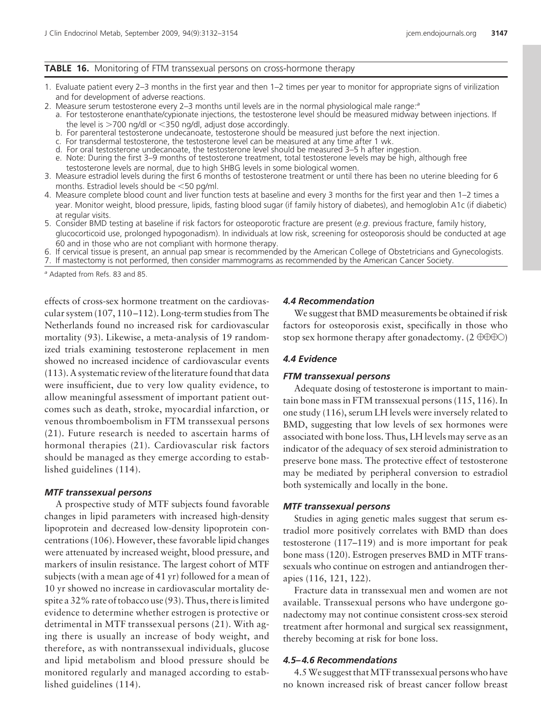#### **TABLE 16.** Monitoring of FTM transsexual persons on cross-hormone therapy

- 1. Evaluate patient every 2–3 months in the first year and then 1–2 times per year to monitor for appropriate signs of virilization and for development of adverse reactions.
- 2. Measure serum testosterone every 2–3 months until levels are in the normal physiological male range:*<sup>a</sup>*
	- a. For testosterone enanthate/cypionate injections, the testosterone level should be measured midway between injections. If the level is 700 ng/dl or -350 ng/dl, adjust dose accordingly.
	- b. For parenteral testosterone undecanoate, testosterone should be measured just before the next injection.
	- c. For transdermal testosterone, the testosterone level can be measured at any time after 1 wk.
	- d. For oral testosterone undecanoate, the testosterone level should be measured 3–5 h after ingestion.
	- e. Note: During the first 3–9 months of testosterone treatment, total testosterone levels may be high, although free testosterone levels are normal, due to high SHBG levels in some biological women.
- 3. Measure estradiol levels during the first 6 months of testosterone treatment or until there has been no uterine bleeding for 6 months. Estradiol levels should be  $<$  50 pg/ml.
- 4. Measure complete blood count and liver function tests at baseline and every 3 months for the first year and then 1–2 times a year. Monitor weight, blood pressure, lipids, fasting blood sugar (if family history of diabetes), and hemoglobin A1c (if diabetic) at regular visits.
- 5. Consider BMD testing at baseline if risk factors for osteoporotic fracture are present (*e*.*g*. previous fracture, family history, glucocorticoid use, prolonged hypogonadism). In individuals at low risk, screening for osteoporosis should be conducted at age 60 and in those who are not compliant with hormone therapy.
- 6. If cervical tissue is present, an annual pap smear is recommended by the American College of Obstetricians and Gynecologists.
- 7. If mastectomy is not performed, then consider mammograms as recommended by the American Cancer Society.

*<sup>a</sup>* Adapted from Refs. 83 and 85.

effects of cross-sex hormone treatment on the cardiovascular system (107, 110 –112). Long-term studies from The Netherlands found no increased risk for cardiovascular mortality (93). Likewise, a meta-analysis of 19 randomized trials examining testosterone replacement in men showed no increased incidence of cardiovascular events (113). A systematic review of the literature found that data were insufficient, due to very low quality evidence, to allow meaningful assessment of important patient outcomes such as death, stroke, myocardial infarction, or venous thromboembolism in FTM transsexual persons (21). Future research is needed to ascertain harms of hormonal therapies (21). Cardiovascular risk factors should be managed as they emerge according to established guidelines (114).

#### *MTF transsexual persons*

A prospective study of MTF subjects found favorable changes in lipid parameters with increased high-density lipoprotein and decreased low-density lipoprotein concentrations (106). However, these favorable lipid changes were attenuated by increased weight, blood pressure, and markers of insulin resistance. The largest cohort of MTF subjects (with a mean age of 41 yr) followed for a mean of 10 yr showed no increase in cardiovascular mortality despite a 32% rate of tobacco use (93). Thus, there is limited evidence to determine whether estrogen is protective or detrimental in MTF transsexual persons (21). With aging there is usually an increase of body weight, and therefore, as with nontranssexual individuals, glucose and lipid metabolism and blood pressure should be monitored regularly and managed according to established guidelines (114).

#### *4.4 Recommendation*

We suggest that BMD measurements be obtained if risk factors for osteoporosis exist, specifically in those who stop sex hormone therapy after gonadectomy.  $(2 \oplus \oplus \oplus \odot)$ 

#### *4.4 Evidence*

#### *FTM transsexual persons*

Adequate dosing of testosterone is important to maintain bone mass in FTM transsexual persons (115, 116). In one study (116), serum LH levels were inversely related to BMD, suggesting that low levels of sex hormones were associated with bone loss. Thus, LH levels may serve as an indicator of the adequacy of sex steroid administration to preserve bone mass. The protective effect of testosterone may be mediated by peripheral conversion to estradiol both systemically and locally in the bone.

## *MTF transsexual persons*

Studies in aging genetic males suggest that serum estradiol more positively correlates with BMD than does testosterone (117–119) and is more important for peak bone mass (120). Estrogen preserves BMD in MTF transsexuals who continue on estrogen and antiandrogen therapies (116, 121, 122).

Fracture data in transsexual men and women are not available. Transsexual persons who have undergone gonadectomy may not continue consistent cross-sex steroid treatment after hormonal and surgical sex reassignment, thereby becoming at risk for bone loss.

#### *4.5– 4.6 Recommendations*

4.5We suggest thatMTF transsexual persons who have no known increased risk of breast cancer follow breast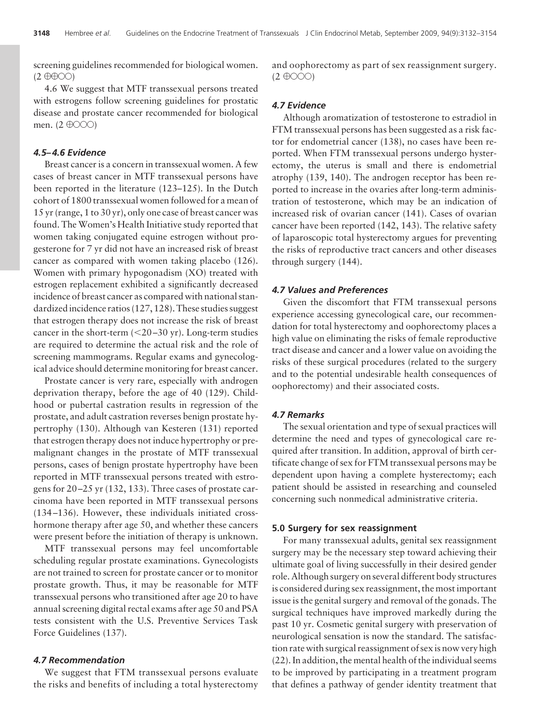screening guidelines recommended for biological women.  $(2 \oplus \oplus \odot \odot)$ 

4.6 We suggest that MTF transsexual persons treated with estrogens follow screening guidelines for prostatic disease and prostate cancer recommended for biological men.  $(2 \oplus \odot \odot \odot)$ 

### *4.5– 4.6 Evidence*

Breast cancer is a concern in transsexual women. A few cases of breast cancer in MTF transsexual persons have been reported in the literature (123–125). In the Dutch cohort of 1800 transsexual women followed for a mean of 15 yr (range, 1 to 30 yr), only one case of breast cancer was found. The Women's Health Initiative study reported that women taking conjugated equine estrogen without progesterone for 7 yr did not have an increased risk of breast cancer as compared with women taking placebo (126). Women with primary hypogonadism (XO) treated with estrogen replacement exhibited a significantly decreased incidence of breast cancer as compared with national standardized incidence ratios (127, 128). These studies suggest that estrogen therapy does not increase the risk of breast cancer in the short-term  $(<$  20–30 yr). Long-term studies are required to determine the actual risk and the role of screening mammograms. Regular exams and gynecological advice should determine monitoring for breast cancer.

Prostate cancer is very rare, especially with androgen deprivation therapy, before the age of 40 (129). Childhood or pubertal castration results in regression of the prostate, and adult castration reverses benign prostate hypertrophy (130). Although van Kesteren (131) reported that estrogen therapy does not induce hypertrophy or premalignant changes in the prostate of MTF transsexual persons, cases of benign prostate hypertrophy have been reported in MTF transsexual persons treated with estrogens for 20 –25 yr (132, 133). Three cases of prostate carcinoma have been reported in MTF transsexual persons (134 –136). However, these individuals initiated crosshormone therapy after age 50, and whether these cancers were present before the initiation of therapy is unknown.

MTF transsexual persons may feel uncomfortable scheduling regular prostate examinations. Gynecologists are not trained to screen for prostate cancer or to monitor prostate growth. Thus, it may be reasonable for MTF transsexual persons who transitioned after age 20 to have annual screening digital rectal exams after age 50 and PSA tests consistent with the U.S. Preventive Services Task Force Guidelines (137).

### *4.7 Recommendation*

We suggest that FTM transsexual persons evaluate the risks and benefits of including a total hysterectomy

and oophorectomy as part of sex reassignment surgery.  $(2 \oplus$ OOO)

#### *4.7 Evidence*

Although aromatization of testosterone to estradiol in FTM transsexual persons has been suggested as a risk factor for endometrial cancer (138), no cases have been reported. When FTM transsexual persons undergo hysterectomy, the uterus is small and there is endometrial atrophy (139, 140). The androgen receptor has been reported to increase in the ovaries after long-term administration of testosterone, which may be an indication of increased risk of ovarian cancer (141). Cases of ovarian cancer have been reported (142, 143). The relative safety of laparoscopic total hysterectomy argues for preventing the risks of reproductive tract cancers and other diseases through surgery (144).

#### *4.7 Values and Preferences*

Given the discomfort that FTM transsexual persons experience accessing gynecological care, our recommendation for total hysterectomy and oophorectomy places a high value on eliminating the risks of female reproductive tract disease and cancer and a lower value on avoiding the risks of these surgical procedures (related to the surgery and to the potential undesirable health consequences of oophorectomy) and their associated costs.

#### *4.7 Remarks*

The sexual orientation and type of sexual practices will determine the need and types of gynecological care required after transition. In addition, approval of birth certificate change of sex for FTM transsexual persons may be dependent upon having a complete hysterectomy; each patient should be assisted in researching and counseled concerning such nonmedical administrative criteria.

#### **5.0 Surgery for sex reassignment**

For many transsexual adults, genital sex reassignment surgery may be the necessary step toward achieving their ultimate goal of living successfully in their desired gender role. Although surgery on several different body structures is considered during sex reassignment, the most important issue is the genital surgery and removal of the gonads. The surgical techniques have improved markedly during the past 10 yr. Cosmetic genital surgery with preservation of neurological sensation is now the standard. The satisfaction rate with surgical reassignment of sex is now very high (22). In addition, the mental health of the individual seems to be improved by participating in a treatment program that defines a pathway of gender identity treatment that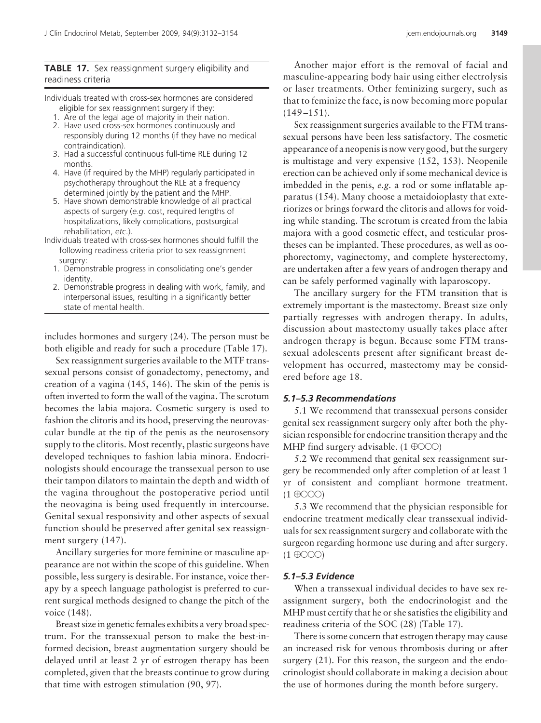### **TABLE 17.** Sex reassignment surgery eligibility and readiness criteria

Individuals treated with cross-sex hormones are considered eligible for sex reassignment surgery if they:

- 1. Are of the legal age of majority in their nation.
- 2. Have used cross-sex hormones continuously and responsibly during 12 months (if they have no medical contraindication).
- 3. Had a successful continuous full-time RLE during 12 months.
- 4. Have (if required by the MHP) regularly participated in psychotherapy throughout the RLE at a frequency determined jointly by the patient and the MHP.
- 5. Have shown demonstrable knowledge of all practical aspects of surgery (*e.g.* cost, required lengths of hospitalizations, likely complications, postsurgical rehabilitation, *etc*.).
- Individuals treated with cross-sex hormones should fulfill the following readiness criteria prior to sex reassignment surgery:
	- 1. Demonstrable progress in consolidating one's gender identity.
	- 2. Demonstrable progress in dealing with work, family, and interpersonal issues, resulting in a significantly better state of mental health.

includes hormones and surgery (24). The person must be both eligible and ready for such a procedure (Table 17).

Sex reassignment surgeries available to the MTF transsexual persons consist of gonadectomy, penectomy, and creation of a vagina (145, 146). The skin of the penis is often inverted to form the wall of the vagina. The scrotum becomes the labia majora. Cosmetic surgery is used to fashion the clitoris and its hood, preserving the neurovascular bundle at the tip of the penis as the neurosensory supply to the clitoris. Most recently, plastic surgeons have developed techniques to fashion labia minora. Endocrinologists should encourage the transsexual person to use their tampon dilators to maintain the depth and width of the vagina throughout the postoperative period until the neovagina is being used frequently in intercourse. Genital sexual responsivity and other aspects of sexual function should be preserved after genital sex reassignment surgery (147).

Ancillary surgeries for more feminine or masculine appearance are not within the scope of this guideline. When possible, less surgery is desirable. For instance, voice therapy by a speech language pathologist is preferred to current surgical methods designed to change the pitch of the voice (148).

Breast size in genetic females exhibits a very broad spectrum. For the transsexual person to make the best-informed decision, breast augmentation surgery should be delayed until at least 2 yr of estrogen therapy has been completed, given that the breasts continue to grow during that time with estrogen stimulation (90, 97).

Another major effort is the removal of facial and masculine-appearing body hair using either electrolysis or laser treatments. Other feminizing surgery, such as that to feminize the face, is now becoming more popular  $(149 - 151)$ .

Sex reassignment surgeries available to the FTM transsexual persons have been less satisfactory. The cosmetic appearance of a neopenis is now very good, but the surgery is multistage and very expensive (152, 153). Neopenile erection can be achieved only if some mechanical device is imbedded in the penis, *e.g.* a rod or some inflatable apparatus (154). Many choose a metaidoioplasty that exteriorizes or brings forward the clitoris and allows for voiding while standing. The scrotum is created from the labia majora with a good cosmetic effect, and testicular prostheses can be implanted. These procedures, as well as oophorectomy, vaginectomy, and complete hysterectomy, are undertaken after a few years of androgen therapy and can be safely performed vaginally with laparoscopy.

The ancillary surgery for the FTM transition that is extremely important is the mastectomy. Breast size only partially regresses with androgen therapy. In adults, discussion about mastectomy usually takes place after androgen therapy is begun. Because some FTM transsexual adolescents present after significant breast development has occurred, mastectomy may be considered before age 18.

## *5.1–5.3 Recommendations*

5.1 We recommend that transsexual persons consider genital sex reassignment surgery only after both the physician responsible for endocrine transition therapy and the MHP find surgery advisable.  $(1 \oplus \text{OOO})$ 

5.2 We recommend that genital sex reassignment surgery be recommended only after completion of at least 1 yr of consistent and compliant hormone treatment.  $(1 \oplus$ OOO)

5.3 We recommend that the physician responsible for endocrine treatment medically clear transsexual individuals for sex reassignment surgery and collaborate with the surgeon regarding hormone use during and after surgery.  $(1 \oplus$ OOO)

## *5.1–5.3 Evidence*

When a transsexual individual decides to have sex reassignment surgery, both the endocrinologist and the MHP must certify that he or she satisfies the eligibility and readiness criteria of the SOC (28) (Table 17).

There is some concern that estrogen therapy may cause an increased risk for venous thrombosis during or after surgery  $(21)$ . For this reason, the surgeon and the endocrinologist should collaborate in making a decision about the use of hormones during the month before surgery.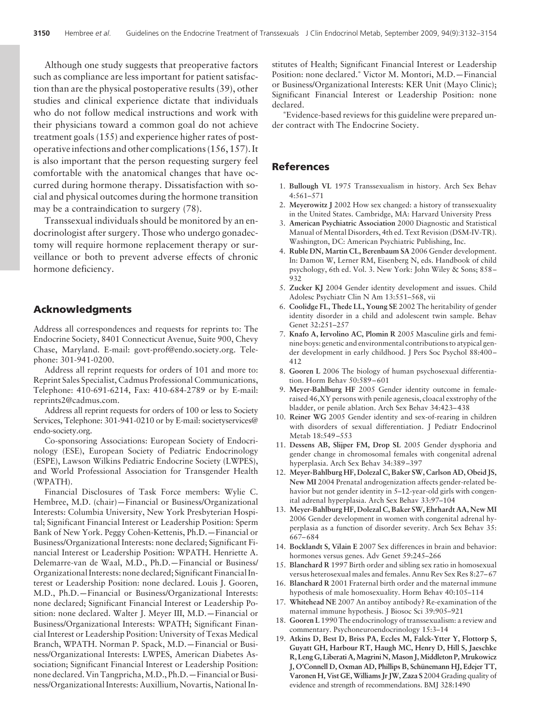Although one study suggests that preoperative factors such as compliance are less important for patient satisfaction than are the physical postoperative results (39), other studies and clinical experience dictate that individuals who do not follow medical instructions and work with their physicians toward a common goal do not achieve treatment goals (155) and experience higher rates of postoperative infections and other complications (156, 157). It is also important that the person requesting surgery feel comfortable with the anatomical changes that have occurred during hormone therapy. Dissatisfaction with social and physical outcomes during the hormone transition may be a contraindication to surgery (78).

Transsexual individuals should be monitored by an endocrinologist after surgery. Those who undergo gonadectomy will require hormone replacement therapy or surveillance or both to prevent adverse effects of chronic hormone deficiency.

### **Acknowledgments**

Address all correspondences and requests for reprints to: The Endocrine Society, 8401 Connecticut Avenue, Suite 900, Chevy Chase, Maryland. E-mail: govt-prof@endo.society.org. Telephone: 301-941-0200.

Address all reprint requests for orders of 101 and more to: Reprint Sales Specialist, Cadmus Professional Communications, Telephone: 410-691-6214, Fax: 410-684-2789 or by E-mail: reprints2@cadmus.com.

Address all reprint requests for orders of 100 or less to Society Services, Telephone: 301-941-0210 or by E-mail: societyservices@ endo-society.org.

Co-sponsoring Associations: European Society of Endocrinology (ESE), European Society of Pediatric Endocrinology (ESPE), Lawson Wilkins Pediatric Endocrine Society (LWPES), and World Professional Association for Transgender Health (WPATH).

Financial Disclosures of Task Force members: Wylie C. Hembree, M.D. (chair)—Financial or Business/Organizational Interests: Columbia University, New York Presbyterian Hospital; Significant Financial Interest or Leadership Position: Sperm Bank of New York. Peggy Cohen-Kettenis, Ph.D.—Financial or Business/Organizational Interests: none declared; Significant Financial Interest or Leadership Position: WPATH. Henriette A. Delemarre-van de Waal, M.D., Ph.D.—Financial or Business/ Organizational Interests: none declared; Significant Financial Interest or Leadership Position: none declared. Louis J. Gooren, M.D., Ph.D.—Financial or Business/Organizational Interests: none declared; Significant Financial Interest or Leadership Position: none declared. Walter J. Meyer III, M.D.—Financial or Business/Organizational Interests: WPATH; Significant Financial Interest or Leadership Position: University of Texas Medical Branch, WPATH. Norman P. Spack, M.D.—Financial or Business/Organizational Interests: LWPES, American Diabetes Association; Significant Financial Interest or Leadership Position: none declared. Vin Tangpricha, M.D., Ph.D. - Financial or Business/Organizational Interests: Auxillium, Novartis, National Institutes of Health; Significant Financial Interest or Leadership Position: none declared.\* Victor M. Montori, M.D.-Financial or Business/Organizational Interests: KER Unit (Mayo Clinic); Significant Financial Interest or Leadership Position: none declared.

Evidence-based reviews for this guideline were prepared under contract with The Endocrine Society.

#### **References**

- 1. **Bullough VL** 1975 Transsexualism in history. Arch Sex Behav 4:561–571
- 2. **Meyerowitz J** 2002 How sex changed: a history of transsexuality in the United States. Cambridge, MA: Harvard University Press
- 3. **American Psychiatric Association** 2000 Diagnostic and Statistical Manual of Mental Disorders, 4th ed. Text Revision (DSM-IV-TR). Washington, DC: American Psychiatric Publishing, Inc.
- 4. **Ruble DN, Martin CL, Berenbaum SA** 2006 Gender development. In: Damon W, Lerner RM, Eisenberg N, eds. Handbook of child psychology, 6th ed. Vol. 3. New York: John Wiley & Sons; 858 – 932
- 5. **Zucker KJ** 2004 Gender identity development and issues. Child Adolesc Psychiatr Clin N Am 13:551–568, vii
- 6. **Coolidge FL, Thede LL, Young SE** 2002 The heritability of gender identity disorder in a child and adolescent twin sample. Behav Genet 32:251–257
- 7. **Knafo A, Iervolino AC, Plomin R** 2005 Masculine girls and feminine boys: genetic and environmental contributions to atypical gender development in early childhood. J Pers Soc Psychol 88:400 – 412
- 8. **Gooren L** 2006 The biology of human psychosexual differentiation. Horm Behav 50:589 – 601
- 9. **Meyer-Bahlburg HF** 2005 Gender identity outcome in femaleraised 46,XY persons with penile agenesis, cloacal exstrophy of the bladder, or penile ablation. Arch Sex Behav 34:423– 438
- 10. **Reiner WG** 2005 Gender identity and sex-of-rearing in children with disorders of sexual differentiation. J Pediatr Endocrinol Metab 18:549 –553
- 11. **Dessens AB, Slijper FM, Drop SL** 2005 Gender dysphoria and gender change in chromosomal females with congenital adrenal hyperplasia. Arch Sex Behav 34:389 –397
- 12. **Meyer-Bahlburg HF, Dolezal C, Baker SW, Carlson AD, Obeid JS, New MI** 2004 Prenatal androgenization affects gender-related behavior but not gender identity in 5–12-year-old girls with congenital adrenal hyperplasia. Arch Sex Behav 33:97–104
- 13. **Meyer-Bahlburg HF, Dolezal C, Baker SW, Ehrhardt AA, New MI** 2006 Gender development in women with congenital adrenal hyperplasia as a function of disorder severity. Arch Sex Behav 35: 667– 684
- 14. **Bocklandt S, Vilain E** 2007 Sex differences in brain and behavior: hormones versus genes. Adv Genet 59:245–266
- 15. **Blanchard R** 1997 Birth order and sibling sex ratio in homosexual versus heterosexual males and females. Annu Rev Sex Res 8:27– 67
- 16. **Blanchard R** 2001 Fraternal birth order and the maternal immune hypothesis of male homosexuality. Horm Behav 40:105–114
- 17. **Whitehead NE** 2007 An antiboy antibody? Re-examination of the maternal immune hypothesis. J Biosoc Sci 39:905–921
- 18. **Gooren L** 1990 The endocrinology of transsexualism: a review and commentary. Psychoneuroendocrinology 15:3–14
- 19. **Atkins D, Best D, Briss PA, Eccles M, Falck-Ytter Y, Flottorp S, Guyatt GH, Harbour RT, Haugh MC, Henry D, Hill S, Jaeschke R, Leng G, Liberati A,Magrini N,Mason J,Middleton P,Mrukowicz J, O'Connell D, Oxman AD, Phillips B, Schu¨ nemann HJ, Edejer TT, Varonen H, Vist GE,Williams Jr JW, Zaza S** 2004 Grading quality of evidence and strength of recommendations. BMJ 328:1490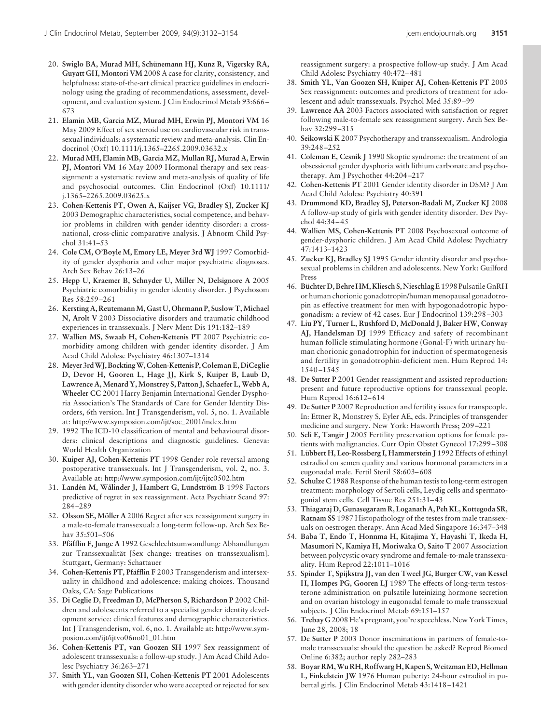- 20. Swiglo BA, Murad MH, Schünemann HJ, Kunz R, Vigersky RA, **Guyatt GH, Montori VM** 2008 A case for clarity, consistency, and helpfulness: state-of-the-art clinical practice guidelines in endocrinology using the grading of recommendations, assessment, development, and evaluation system. J Clin Endocrinol Metab 93:666 – 673
- 21. **Elamin MB, Garcia MZ, Murad MH, Erwin PJ, Montori VM** 16 May 2009 Effect of sex steroid use on cardiovascular risk in transsexual individuals: a systematic review and meta-analysis. Clin Endocrinol (Oxf) 10.1111/j.1365–2265.2009.03632.x
- 22. **Murad MH, Elamin MB, Garcia MZ, Mullan RJ, Murad A, Erwin PJ, Montori VM** 16 May 2009 Hormonal therapy and sex reassignment: a systematic review and meta-analysis of quality of life and psychosocial outcomes. Clin Endocrinol (Oxf) 10.1111/ j.1365–2265.2009.03625.x
- 23. **Cohen-Kettenis PT, Owen A, Kaijser VG, Bradley SJ, Zucker KJ** 2003 Demographic characteristics, social competence, and behavior problems in children with gender identity disorder: a crossnational, cross-clinic comparative analysis. J Abnorm Child Psychol 31:41–53
- 24. **Cole CM, O'Boyle M, Emory LE, Meyer 3rd WJ** 1997 Comorbidity of gender dysphoria and other major psychiatric diagnoses. Arch Sex Behav 26:13–26
- 25. **Hepp U, Kraemer B, Schnyder U, Miller N, Delsignore A** 2005 Psychiatric comorbidity in gender identity disorder. J Psychosom Res 58:259 –261
- 26. **Kersting A, ReutemannM, Gast U, Ohrmann P, Suslow T,Michael N, Arolt V** 2003 Dissociative disorders and traumatic childhood experiences in transsexuals. J Nerv Ment Dis 191:182–189
- 27. **Wallien MS, Swaab H, Cohen-Kettenis PT** 2007 Psychiatric comorbidity among children with gender identity disorder. J Am Acad Child Adolesc Psychiatry 46:1307–1314
- 28. **Meyer 3rdWJ,BocktingW, Cohen-Kettenis P,Coleman E, DiCeglie D, Devor H, Gooren L, Hage JJ, Kirk S, Kuiper B, Laub D, Lawrence A, Menard Y, Monstrey S, Patton J, Schaefer L, Webb A, Wheeler CC** 2001 Harry Benjamin International Gender Dysphoria Association's The Standards of Care for Gender Identity Disorders, 6th version. Int J Transgenderism, vol. 5, no. 1. Available at: http://www.symposion.com/ijt/soc\_2001/index.htm
- 29. 1992 The ICD-10 classification of mental and behavioural disorders: clinical descriptions and diagnostic guidelines. Geneva: World Health Organization
- 30. **Kuiper AJ, Cohen-Kettenis PT** 1998 Gender role reversal among postoperative transsexuals. Int J Transgenderism, vol. 2, no. 3. Available at: http://www.symposion.com/ijt/ijtc0502.htm
- 31. Landén M, Wålinder J, Hambert G, Lundström B 1998 Factors predictive of regret in sex reassignment. Acta Psychiatr Scand 97: 284 –289
- 32. Olsson SE, Möller A 2006 Regret after sex reassignment surgery in a male-to-female transsexual: a long-term follow-up. Arch Sex Behav 35:501–506
- 33. Pfäfflin F, Junge A 1992 Geschlechtsumwandlung: Abhandlungen zur Transsexualität [Sex change: treatises on transsexualism]. Stuttgart, Germany: Schattauer
- 34. Cohen-Kettenis PT, Pfäfflin F 2003 Transgenderism and intersexuality in childhood and adolescence: making choices. Thousand Oaks, CA: Sage Publications
- 35. **Di Ceglie D, Freedman D, McPherson S, Richardson P** 2002 Children and adolescents referred to a specialist gender identity development service: clinical features and demographic characteristics. Int J Transgenderism, vol. 6, no. 1. Available at: http://www.symposion.com/ijt/ijtvo06no01\_01.htm
- 36. **Cohen-Kettenis PT, van Goozen SH** 1997 Sex reassignment of adolescent transsexuals: a follow-up study. J Am Acad Child Adolesc Psychiatry 36:263–271
- 37. **Smith YL, van Goozen SH, Cohen-Kettenis PT** 2001 Adolescents with gender identity disorder who were accepted or rejected for sex

reassignment surgery: a prospective follow-up study. J Am Acad Child Adolesc Psychiatry 40:472– 481

- 38. **Smith YL, Van Goozen SH, Kuiper AJ, Cohen-Kettenis PT** 2005 Sex reassignment: outcomes and predictors of treatment for adolescent and adult transsexuals. Psychol Med 35:89 –99
- 39. **Lawrence AA** 2003 Factors associated with satisfaction or regret following male-to-female sex reassignment surgery. Arch Sex Behav 32:299 –315
- 40. **Seikowski K** 2007 Psychotherapy and transsexualism. Andrologia 39:248 –252
- 41. **Coleman E, Cesnik J** 1990 Skoptic syndrome: the treatment of an obsessional gender dysphoria with lithium carbonate and psychotherapy. Am J Psychother 44:204 –217
- 42. **Cohen-Kettenis PT** 2001 Gender identity disorder in DSM? J Am Acad Child Adolesc Psychiatry 40:391
- 43. **Drummond KD, Bradley SJ, Peterson-Badali M, Zucker KJ** 2008 A follow-up study of girls with gender identity disorder. Dev Psychol 44:34 – 45
- 44. **Wallien MS, Cohen-Kettenis PT** 2008 Psychosexual outcome of gender-dysphoric children. J Am Acad Child Adolesc Psychiatry 47:1413–1423
- 45. **Zucker KJ, Bradley SJ** 1995 Gender identity disorder and psychosexual problems in children and adolescents. New York: Guilford Press
- 46. Büchter D, Behre HM, Kliesch S, Nieschlag E 1998 Pulsatile GnRH or human chorionic gonadotropin/human menopausal gonadotropin as effective treatment for men with hypogonadotropic hypogonadism: a review of 42 cases. Eur J Endocrinol 139:298 –303
- 47. **Liu PY, Turner L, Rushford D, McDonald J, Baker HW, Conway AJ, Handelsman DJ** 1999 Efficacy and safety of recombinant human follicle stimulating hormone (Gonal-F) with urinary human chorionic gonadotrophin for induction of spermatogenesis and fertility in gonadotrophin-deficient men. Hum Reprod 14: 1540 –1545
- 48. **De Sutter P** 2001 Gender reassignment and assisted reproduction: present and future reproductive options for transsexual people. Hum Reprod 16:612– 614
- 49. **De Sutter P** 2007 Reproduction and fertility issues for transpeople. In: Ettner R, Monstrey S, Eyler AE, eds. Principles of transgender medicine and surgery. New York: Haworth Press; 209 –221
- 50. **Seli E, Tangir J** 2005 Fertility preservation options for female patients with malignancies. Curr Opin Obstet Gynecol 17:299 –308
- 51. Lübbert H, Leo-Rossberg I, Hammerstein J 1992 Effects of ethinyl estradiol on semen quality and various hormonal parameters in a eugonadal male. Fertil Steril 58:603– 608
- 52. **Schulze C** 1988 Response of the human testis to long-term estrogen treatment: morphology of Sertoli cells, Leydig cells and spermatogonial stem cells. Cell Tissue Res 251:31– 43
- 53. **Thiagaraj D, Gunasegaram R, Loganath A, Peh KL, Kottegoda SR, Ratnam SS** 1987 Histopathology of the testes from male transsexuals on oestrogen therapy. Ann Acad Med Singapore 16:347–348
- 54. **Baba T, Endo T, Honnma H, Kitajima Y, Hayashi T, Ikeda H, Masumori N, Kamiya H, Moriwaka O, Saito T** 2007 Association between polycystic ovary syndrome and female-to-male transsexuality. Hum Reprod 22:1011–1016
- 55. **Spinder T, Spijkstra JJ, van den Tweel JG, Burger CW, van Kessel H, Hompes PG, Gooren LJ** 1989 The effects of long-term testosterone administration on pulsatile luteinizing hormone secretion and on ovarian histology in eugonadal female to male transsexual subjects. J Clin Endocrinol Metab 69:151–157
- 56. **Trebay G**2008 He's pregnant, you're speechless. New York Times, June 28, 2008; 18
- 57. **De Sutter P** 2003 Donor inseminations in partners of female-tomale transsexuals: should the question be asked? Reprod Biomed Online 6:382; author reply 282–283
- 58. **Boyar RM,Wu RH, Roffwarg H, Kapen S,Weitzman ED, Hellman L, Finkelstein JW** 1976 Human puberty: 24-hour estradiol in pubertal girls. J Clin Endocrinol Metab 43:1418 –1421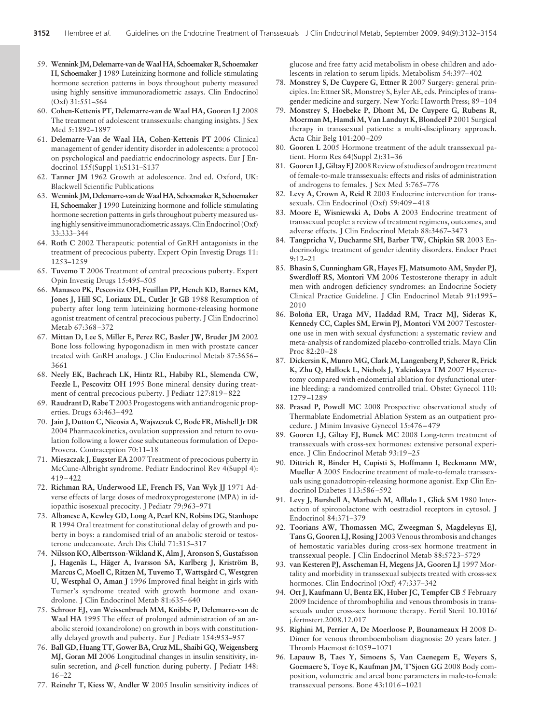- 59. **Wennink JM, Delemarre-van deWaal HA, Schoemaker R, Schoemaker H, Schoemaker J** 1989 Luteinizing hormone and follicle stimulating hormone secretion patterns in boys throughout puberty measured using highly sensitive immunoradiometric assays. Clin Endocrinol (Oxf) 31:551–564
- 60. **Cohen-Kettenis PT, Delemarre-van de Waal HA, Gooren LJ** 2008 The treatment of adolescent transsexuals: changing insights. J Sex Med 5:1892–1897
- 61. **Delemarre-Van de Waal HA, Cohen-Kettenis PT** 2006 Clinical management of gender identity disorder in adolescents: a protocol on psychological and paediatric endocrinology aspects. Eur J Endocrinol 155(Suppl 1):S131–S137
- 62. **Tanner JM** 1962 Growth at adolescence. 2nd ed. Oxford, UK: Blackwell Scientific Publications
- 63. **Wennink JM, Delemarre-van deWaal HA, Schoemaker R, Schoemaker H, Schoemaker J** 1990 Luteinizing hormone and follicle stimulating hormone secretion patterns in girls throughout puberty measured using highly sensitive immunoradiometric assays. Clin Endocrinol  $(Oxf)$ 33:333–344
- 64. **Roth C** 2002 Therapeutic potential of GnRH antagonists in the treatment of precocious puberty. Expert Opin Investig Drugs 11: 1253–1259
- 65. **Tuvemo T** 2006 Treatment of central precocious puberty. Expert Opin Investig Drugs 15:495–505
- 66. **Manasco PK, Pescovitz OH, Feuillan PP, Hench KD, Barnes KM, Jones J, Hill SC, Loriaux DL, Cutler Jr GB** 1988 Resumption of puberty after long term luteinizing hormone-releasing hormone agonist treatment of central precocious puberty. J Clin Endocrinol Metab 67:368 –372
- 67. **Mittan D, Lee S, Miller E, Perez RC, Basler JW, Bruder JM** 2002 Bone loss following hypogonadism in men with prostate cancer treated with GnRH analogs. J Clin Endocrinol Metab 87:3656 – 3661
- 68. **Neely EK, Bachrach LK, Hintz RL, Habiby RL, Slemenda CW, Feezle L, Pescovitz OH** 1995 Bone mineral density during treatment of central precocious puberty. J Pediatr 127:819 – 822
- 69. **Raudrant D, Rabe T** 2003 Progestogens with antiandrogenic properties. Drugs 63:463– 492
- 70. **Jain J, Dutton C, Nicosia A, Wajszczuk C, Bode FR, Mishell Jr DR** 2004 Pharmacokinetics, ovulation suppression and return to ovulation following a lower dose subcutaneous formulation of Depo-Provera. Contraception 70:11–18
- 71. **Mieszczak J, Eugster EA** 2007 Treatment of precocious puberty in McCune-Albright syndrome. Pediatr Endocrinol Rev 4(Suppl 4): 419 – 422
- 72. **Richman RA, Underwood LE, French FS, Van Wyk JJ** 1971 Adverse effects of large doses of medroxyprogesterone (MPA) in idiopathic isosexual precocity. J Pediatr 79:963–971
- 73. **Albanese A, Kewley GD, Long A, Pearl KN, Robins DG, Stanhope R** 1994 Oral treatment for constitutional delay of growth and puberty in boys: a randomised trial of an anabolic steroid or testosterone undecanoate. Arch Dis Child 71:315–317
- 74. **Nilsson KO, Albertsson-Wikland K, Alm J, Aronson S, Gustafsson** J, Hagenäs L, Häger A, Ivarsson SA, Karlberg J, Kriström B, **Marcus C, Moell C, Ritzen M, Tuvemo T, Wattsgård C, Westgren U, Westphal O, Aman J** 1996 Improved final height in girls with Turner's syndrome treated with growth hormone and oxandrolone. J Clin Endocrinol Metab 81:635-640
- 75. **Schroor EJ, van Weissenbruch MM, Knibbe P, Delemarre-van de Waal HA** 1995 The effect of prolonged administration of an anabolic steroid (oxandrolone) on growth in boys with constitutionally delayed growth and puberty. Eur J Pediatr 154:953–957
- 76. **Ball GD, Huang TT, Gower BA, Cruz ML, Shaibi GQ, Weigensberg MJ, Goran MI** 2006 Longitudinal changes in insulin sensitivity, insulin secretion, and  $\beta$ -cell function during puberty. J Pediatr 148: 16 –22
- 77. **Reinehr T, Kiess W, Andler W** 2005 Insulin sensitivity indices of

glucose and free fatty acid metabolism in obese children and adolescents in relation to serum lipids. Metabolism 54:397– 402

- 78. **Monstrey S, De Cuypere G, Ettner R** 2007 Surgery: general principles. In: Ettner SR, Monstrey S, Eyler AE, eds. Principles of transgender medicine and surgery. New York: Haworth Press; 89 –104
- 79. **Monstrey S, Hoebeke P, Dhont M, De Cuypere G, Rubens R, Moerman M, Hamdi M, Van Landuyt K, Blondeel P** 2001 Surgical therapy in transsexual patients: a multi-disciplinary approach. Acta Chir Belg 101:200 –209
- 80. **Gooren L** 2005 Hormone treatment of the adult transsexual patient. Horm Res 64(Suppl 2):31–36
- 81. **Gooren LJ, Giltay EJ** 2008 Review of studies of androgen treatment of female-to-male transsexuals: effects and risks of administration of androgens to females. J Sex Med 5:765–776
- 82. **Levy A, Crown A, Reid R** 2003 Endocrine intervention for transsexuals. Clin Endocrinol (Oxf) 59:409 – 418
- 83. **Moore E, Wisniewski A, Dobs A** 2003 Endocrine treatment of transsexual people: a review of treatment regimens, outcomes, and adverse effects. J Clin Endocrinol Metab 88:3467–3473
- 84. **Tangpricha V, Ducharme SH, Barber TW, Chipkin SR** 2003 Endocrinologic treatment of gender identity disorders. Endocr Pract 9:12–21
- 85. **Bhasin S, Cunningham GR, Hayes FJ, Matsumoto AM, Snyder PJ, Swerdloff RS, Montori VM** 2006 Testosterone therapy in adult men with androgen deficiency syndromes: an Endocrine Society Clinical Practice Guideline. J Clin Endocrinol Metab 91:1995– 2010
- 86. Boloña ER, Uraga MV, Haddad RM, Tracz MJ, Sideras K, **Kennedy CC, Caples SM, Erwin PJ, Montori VM** 2007 Testosterone use in men with sexual dysfunction: a systematic review and meta-analysis of randomized placebo-controlled trials. Mayo Clin Proc 82:20 –28
- 87. **Dickersin K, Munro MG, Clark M, Langenberg P, Scherer R, Frick K, Zhu Q, Hallock L, Nichols J, Yalcinkaya TM** 2007 Hysterectomy compared with endometrial ablation for dysfunctional uterine bleeding: a randomized controlled trial. Obstet Gynecol 110: 1279 –1289
- 88. **Prasad P, Powell MC** 2008 Prospective observational study of Thermablate Endometrial Ablation System as an outpatient procedure. J Minim Invasive Gynecol 15:476 – 479
- 89. **Gooren LJ, Giltay EJ, Bunck MC** 2008 Long-term treatment of transsexuals with cross-sex hormones: extensive personal experience. J Clin Endocrinol Metab 93:19 –25
- 90. **Dittrich R, Binder H, Cupisti S, Hoffmann I, Beckmann MW, Mueller A** 2005 Endocrine treatment of male-to-female transsexuals using gonadotropin-releasing hormone agonist. Exp Clin Endocrinol Diabetes 113:586 –592
- 91. **Levy J, Burshell A, Marbach M, Afllalo L, Glick SM** 1980 Interaction of spironolactone with oestradiol receptors in cytosol. J Endocrinol 84:371–379
- 92. **Toorians AW, Thomassen MC, Zweegman S, Magdeleyns EJ, Tans G, Gooren LJ, Rosing J** 2003 Venous thrombosis and changes of hemostatic variables during cross-sex hormone treatment in transsexual people. J Clin Endocrinol Metab 88:5723–5729
- 93. **van Kesteren PJ, Asscheman H, Megens JA, Gooren LJ** 1997 Mortality and morbidity in transsexual subjects treated with cross-sex hormones. Clin Endocrinol (Oxf) 47:337–342
- 94. **Ott J, Kaufmann U, Bentz EK, Huber JC, Tempfer CB** 5 February 2009 Incidence of thrombophilia and venous thrombosis in transsexuals under cross-sex hormone therapy. Fertil Steril 10.1016/ j.fertnstert.2008.12.017
- 95. **Righini M, Perrier A, De Moerloose P, Bounameaux H** 2008 D-Dimer for venous thromboembolism diagnosis: 20 years later. J Thromb Haemost 6:1059 –1071
- 96. **Lapauw B, Taes Y, Simoens S, Van Caenegem E, Weyers S, Goemaere S, Toye K, Kaufman JM, T'Sjoen GG** 2008 Body composition, volumetric and areal bone parameters in male-to-female transsexual persons. Bone 43:1016 –1021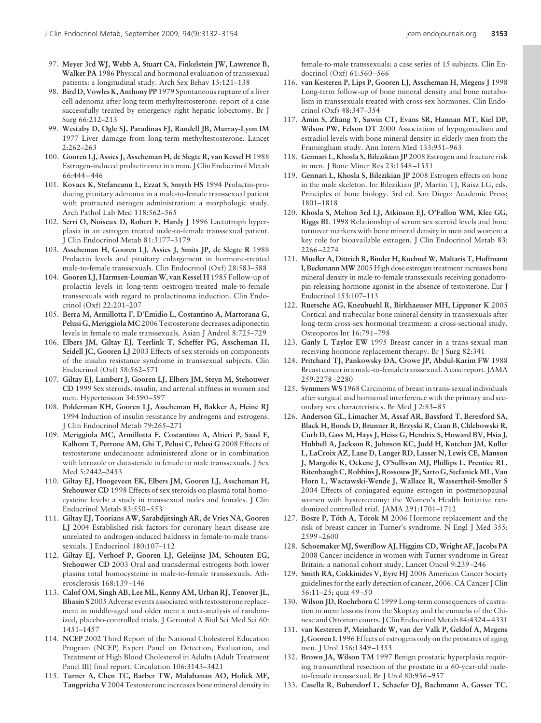- 97. **Meyer 3rd WJ, Webb A, Stuart CA, Finkelstein JW, Lawrence B, Walker PA** 1986 Physical and hormonal evaluation of transsexual patients: a longitudinal study. Arch Sex Behav 15:121–138
- 98. **Bird D, Vowles K, Anthony PP** 1979 Spontaneous rupture of a liver cell adenoma after long term methyltestosterone: report of a case successfully treated by emergency right hepatic lobectomy. Br J Surg 66:212–213
- 99. **Westaby D, Ogle SJ, Paradinas FJ, Randell JB, Murray-Lyon IM** 1977 Liver damage from long-term methyltestosterone. Lancet 2:262–263
- 100. **Gooren LJ, Assies J, Asscheman H, de Slegte R, van Kessel H** 1988 Estrogen-induced prolactinoma in a man. J Clin Endocrinol Metab 66:444 – 446
- 101. **Kovacs K, Stefaneanu L, Ezzat S, Smyth HS** 1994 Prolactin-producing pituitary adenoma in a male-to-female transsexual patient with protracted estrogen administration: a morphologic study. Arch Pathol Lab Med 118:562–565
- 102. **Serri O, Noiseux D, Robert F, Hardy J** 1996 Lactotroph hyperplasia in an estrogen treated male-to-female transsexual patient. J Clin Endocrinol Metab 81:3177–3179
- 103. **Asscheman H, Gooren LJ, Assies J, Smits JP, de Slegte R** 1988 Prolactin levels and pituitary enlargement in hormone-treated male-to-female transsexuals. Clin Endocrinol (Oxf) 28:583–588
- 104. **Gooren LJ, Harmsen-Louman W, van Kessel H** 1985 Follow-up of prolactin levels in long-term oestrogen-treated male-to-female transsexuals with regard to prolactinoma induction. Clin Endocrinol (Oxf) 22:201–207
- 105. **Berra M, Armillotta F, D'Emidio L, Costantino A, Martorana G, Pelusi G,MeriggiolaMC** 2006 Testosterone decreases adiponectin levels in female to male transsexuals. Asian J Androl 8:725–729
- 106. **Elbers JM, Giltay EJ, Teerlink T, Scheffer PG, Asscheman H, Seidell JC, Gooren LJ** 2003 Effects of sex steroids on components of the insulin resistance syndrome in transsexual subjects. Clin Endocrinol (Oxf) 58:562–571
- 107. **Giltay EJ, Lambert J, Gooren LJ, Elbers JM, Steyn M, Stehouwer CD** 1999 Sex steroids, insulin, and arterial stiffness in women and men. Hypertension 34:590 –597
- 108. **Polderman KH, Gooren LJ, Asscheman H, Bakker A, Heine RJ** 1994 Induction of insulin resistance by androgens and estrogens. J Clin Endocrinol Metab 79:265–271
- 109. **Meriggiola MC, Armillotta F, Costantino A, Altieri P, Saad F, Kalhorn T, Perrone AM, Ghi T, Pelusi C, Pelusi G** 2008 Effects of testosterone undecanoate administered alone or in combination with letrozole or dutasteride in female to male transsexuals. J Sex Med 5:2442–2453
- 110. **Giltay EJ, Hoogeveen EK, Elbers JM, Gooren LJ, Asscheman H, Stehouwer CD** 1998 Effects of sex steroids on plasma total homocysteine levels: a study in transsexual males and females. J Clin Endocrinol Metab 83:550 –553
- 111. **Giltay EJ, Toorians AW, Sarabdjitsingh AR, de Vries NA, Gooren LJ** 2004 Established risk factors for coronary heart disease are unrelated to androgen-induced baldness in female-to-male transsexuals. J Endocrinol 180:107–112
- 112. **Giltay EJ, Verhoef P, Gooren LJ, Geleijnse JM, Schouten EG, Stehouwer CD** 2003 Oral and transdermal estrogens both lower plasma total homocysteine in male-to-female transsexuals. Atherosclerosis 168:139 –146
- 113. **Calof OM, Singh AB, Lee ML, Kenny AM, Urban RJ, Tenover JL, Bhasin S** 2005 Adverse events associated with testosterone replacement in middle-aged and older men: a meta-analysis of randomized, placebo-controlled trials. J Gerontol A Biol Sci Med Sci 60: 1451–1457
- 114. **NCEP** 2002 Third Report of the National Cholesterol Education Program (NCEP) Expert Panel on Detection, Evaluation, and Treatment of High Blood Cholesterol in Adults (Adult Treatment Panel III) final report. Circulation 106:3143–3421
- 115. **Turner A, Chen TC, Barber TW, Malabanan AO, Holick MF, Tangpricha V** 2004 Testosterone increases bone mineral density in

female-to-male transsexuals: a case series of 15 subjects. Clin Endocrinol (Oxf) 61:560 –566

- 116. **van Kesteren P, Lips P, Gooren LJ, Asscheman H, Megens J** 1998 Long-term follow-up of bone mineral density and bone metabolism in transsexuals treated with cross-sex hormones. Clin Endocrinol (Oxf) 48:347–354
- 117. **Amin S, Zhang Y, Sawin CT, Evans SR, Hannan MT, Kiel DP, Wilson PW, Felson DT** 2000 Association of hypogonadism and estradiol levels with bone mineral density in elderly men from the Framingham study. Ann Intern Med 133:951–963
- 118. **Gennari L, Khosla S, Bilezikian JP** 2008 Estrogen and fracture risk in men. J Bone Miner Res 23:1548 –1551
- 119. **Gennari L, Khosla S, Bilezikian JP** 2008 Estrogen effects on bone in the male skeleton. In: Bilezikian JP, Martin TJ, Raisz LG, eds. Principles of bone biology. 3rd ed. San Diego: Academic Press; 1801–1818
- 120. **Khosla S, Melton 3rd LJ, Atkinson EJ, O'Fallon WM, Klee GG, Riggs BL** 1998 Relationship of serum sex steroid levels and bone turnover markers with bone mineral density in men and women: a key role for bioavailable estrogen. J Clin Endocrinol Metab 83: 2266 –2274
- 121. **Mueller A, Dittrich R, Binder H, Kuehnel W, Maltaris T, Hoffmann I, Beckmann MW** 2005 High dose estrogen treatment increases bone mineral density in male-to-female transsexuals receiving gonadotropin-releasing hormone agonist in the absence of testosterone. Eur J Endocrinol 153:107–113
- 122. **Ruetsche AG, Kneubuehl R, Birkhaeuser MH, Lippuner K** 2005 Cortical and trabecular bone mineral density in transsexuals after long-term cross-sex hormonal treatment: a cross-sectional study. Osteoporos Int 16:791–798
- 123. **Ganly I, Taylor EW** 1995 Breast cancer in a trans-sexual man receiving hormone replacement therapy. Br J Surg 82:341
- 124. **Pritchard TJ, Pankowsky DA, Crowe JP, Abdul-Karim FW** 1988 Breast cancer in a male-to-female transsexual. A case report. JAMA 259:2278 –2280
- 125. **SymmersWS** 1968 Carcinoma of breast in trans-sexual individuals after surgical and hormonal interference with the primary and secondary sex characteristics. Br Med J 2:83– 85
- 126. **Anderson GL, Limacher M, Assaf AR, Bassford T, Beresford SA, Black H, Bonds D, Brunner R, Brzyski R, Caan B, Chlebowski R, Curb D, Gass M, Hays J, Heiss G, Hendrix S, Howard BV, Hsia J, Hubbell A, Jackson R, Johnson KC, Judd H, Kotchen JM, Kuller L, LaCroix AZ, Lane D, Langer RD, Lasser N, Lewis CE, Manson J, Margolis K, Ockene J, O'Sullivan MJ, Phillips L, Prentice RL, Ritenbaugh C, Robbins J, Rossouw JE, Sarto G, StefanickML, Van Horn L, Wactawski-Wende J, Wallace R, Wassertheil-Smoller S** 2004 Effects of conjugated equine estrogen in postmenopausal women with hysterectomy: the Women's Health Initiative randomized controlled trial. JAMA 291:1701–1712
- 127. Bösze P, Tóth A, Török M 2006 Hormone replacement and the risk of breast cancer in Turner's syndrome. N Engl J Med 355: 2599 –2600
- 128. **Schoemaker MJ, Swerdlow AJ, Higgins CD, Wright AF, Jacobs PA** 2008 Cancer incidence in women with Turner syndrome in Great Britain: a national cohort study. Lancet Oncol 9:239 –246
- 129. **Smith RA, Cokkinides V, Eyre HJ** 2006 American Cancer Society guidelines for the early detection of cancer, 2006. CA Cancer J Clin 56:11–25; quiz 49 –50
- 130. **Wilson JD, Roehrborn C** 1999 Long-term consequences of castration in men: lessons from the Skoptzy and the eunuchs of the Chinese and Ottoman courts. J Clin Endocrinol Metab 84:4324-4331
- 131. **van Kesteren P, Meinhardt W, van der Valk P, Geldof A, Megens J, Gooren L** 1996 Effects of estrogens only on the prostates of aging men. J Urol 156:1349 –1353
- 132. **Brown JA, Wilson TM** 1997 Benign prostatic hyperplasia requiring transurethral resection of the prostate in a 60-year-old maleto-female transsexual. Br J Urol 80:956 –957
- 133. **Casella R, Bubendorf L, Schaefer DJ, Bachmann A, Gasser TC,**